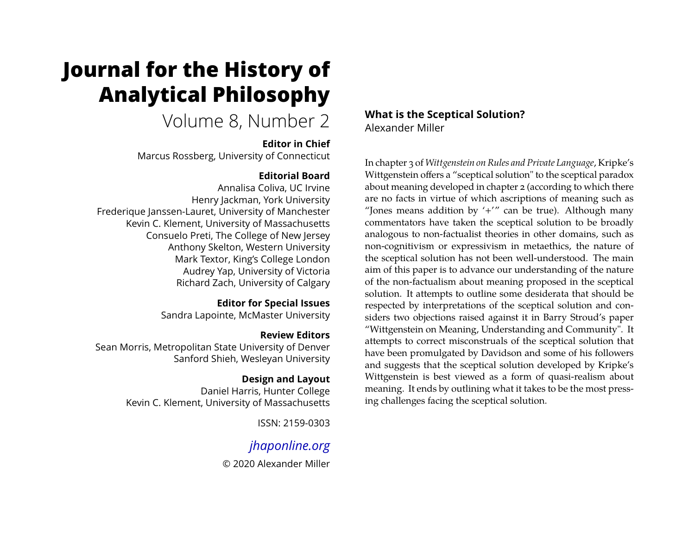# **Journal for the History of Analytical Philosophy**

## Volume 8, Number 2

## **Editor in Chief**

Marcus Rossberg, University of Connecticut

## **Editorial Board**

Annalisa Coliva, UC Irvine Henry Jackman, York University Frederique Janssen-Lauret, University of Manchester Kevin C. Klement, University of Massachusetts Consuelo Preti, The College of New Jersey Anthony Skelton, Western University Mark Textor, King's College London Audrey Yap, University of Victoria Richard Zach, University of Calgary

## **Editor for Special Issues**

Sandra Lapointe, McMaster University

## **Review Editors**

Sean Morris, Metropolitan State University of Denver Sanford Shieh, Wesleyan University

## **Design and Layout**

Daniel Harris, Hunter College Kevin C. Klement, University of Massachusetts

ISSN: 2159-0303

## *[jhaponline.org](https://jhaponline.org)*

© 2020 Alexander Miller

## **What is the Sceptical Solution?** Alexander Miller

In chapter 3 of *Wittgenstein on Rules and Private Language*, Kripke's Wittgenstein offers a "sceptical solution" to the sceptical paradox about meaning developed in chapter 2 (according to which there are no facts in virtue of which ascriptions of meaning such as "Jones means addition by  $'+'''$  can be true). Although many commentators have taken the sceptical solution to be broadly analogous to non-factualist theories in other domains, such as non-cognitivism or expressivism in metaethics, the nature of the sceptical solution has not been well-understood. The main aim of this paper is to advance our understanding of the nature of the non-factualism about meaning proposed in the sceptical solution. It attempts to outline some desiderata that should be respected by interpretations of the sceptical solution and considers two objections raised against it in Barry Stroud's paper "Wittgenstein on Meaning, Understanding and Community". It attempts to correct misconstruals of the sceptical solution that have been promulgated by Davidson and some of his followers and suggests that the sceptical solution developed by Kripke's Wittgenstein is best viewed as a form of quasi-realism about meaning. It ends by outlining what it takes to be the most pressing challenges facing the sceptical solution.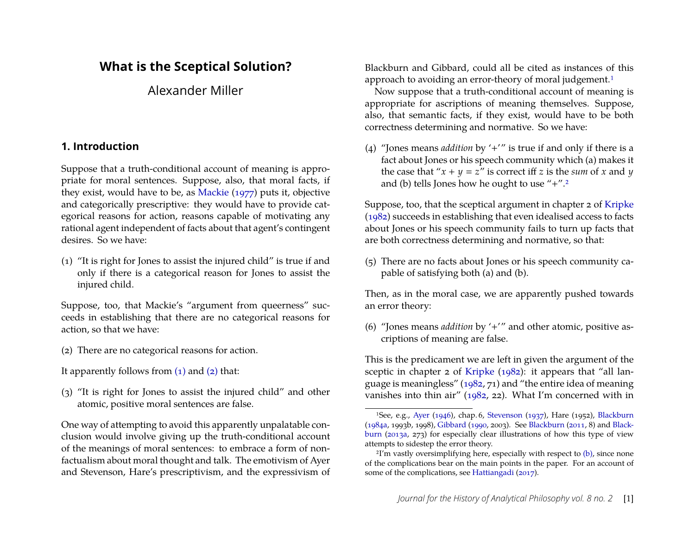## **What is the Sceptical Solution?**

Alexander Miller

#### <span id="page-1-0"></span>**1. Introduction**

Suppose that a truth-conditional account of meaning is appropriate for moral sentences. Suppose, also, that moral facts, if they exist, would have to be, as [Mackie](#page-21-0) [\(1977\)](#page-21-0) puts it, objective and categorically prescriptive: they would have to provide categorical reasons for action, reasons capable of motivating any rational agent independent of facts about that agent's contingent desires. So we have:

(1) "It is right for Jones to assist the injured child" is true if and only if there is a categorical reason for Jones to assist the injured child.

Suppose, too, that Mackie's "argument from queerness" succeeds in establishing that there are no categorical reasons for action, so that we have:

(2) There are no categorical reasons for action.

It apparently follows from  $(1)$  and  $(2)$  that:

(3) "It is right for Jones to assist the injured child" and other atomic, positive moral sentences are false.

One way of attempting to avoid this apparently unpalatable conclusion would involve giving up the truth-conditional account of the meanings of moral sentences: to embrace a form of nonfactualism about moral thought and talk. The emotivism of Ayer and Stevenson, Hare's prescriptivism, and the expressivism of

Blackburn and Gibbard, could all be cited as instances of this approach to avoiding an error-theory of moral judgement.<sup>[1](#page-1-1)</sup>

Now suppose that a truth-conditional account of meaning is appropriate for ascriptions of meaning themselves. Suppose, also, that semantic facts, if they exist, would have to be both correctness determining and normative. So we have:

(4) "Jones means *addition* by '+'" is true if and only if there is a fact about Jones or his speech community which (a) makes it the case that " $x + y = z$ " is correct iff *z* is the *sum* of *x* and *y* and (b) tells Jones how he ought to use  $4.4$ .

Suppose, too, that the sceptical argument in chapter 2 of [Kripke](#page-21-1) [\(1982\)](#page-21-1) succeeds in establishing that even idealised access to facts about Jones or his speech community fails to turn up facts that are both correctness determining and normative, so that:

(5) There are no facts about Jones or his speech community capable of satisfying both (a) and (b).

Then, as in the moral case, we are apparently pushed towards an error theory:

(6) "Jones means *addition* by '+'" and other atomic, positive ascriptions of meaning are false.

This is the predicament we are left in given the argument of the sceptic in chapter 2 of [Kripke](#page-21-1) [\(1982\)](#page-21-1): it appears that "all language is meaningless" [\(1982,](#page-21-1) 71) and "the entire idea of meaning vanishes into thin air" [\(1982,](#page-21-1) 22). What I'm concerned with in

<span id="page-1-1"></span><sup>1</sup>See, e.g., [Ayer](#page-19-0) [\(1946\)](#page-19-0), chap. 6, [Stevenson](#page-21-2) [\(1937\)](#page-21-2), Hare (1952), [Blackburn](#page-19-1) [\(1984a,](#page-19-1) 1993b, 1998), [Gibbard](#page-20-0) [\(1990,](#page-20-0) 2003). See [Blackburn](#page-20-1) [\(2011,](#page-20-1) 8) and [Black](#page-20-2)[burn](#page-20-2) [\(2013a,](#page-20-2) 273) for especially clear illustrations of how this type of view attempts to sidestep the error theory.

<span id="page-1-2"></span> $2I'm$  vastly oversimplifying here, especially with respect to  $(b)$ , since none of the complications bear on the main points in the paper. For an account of some of the complications, see [Hattiangadi](#page-21-3) [\(2017\)](#page-21-3).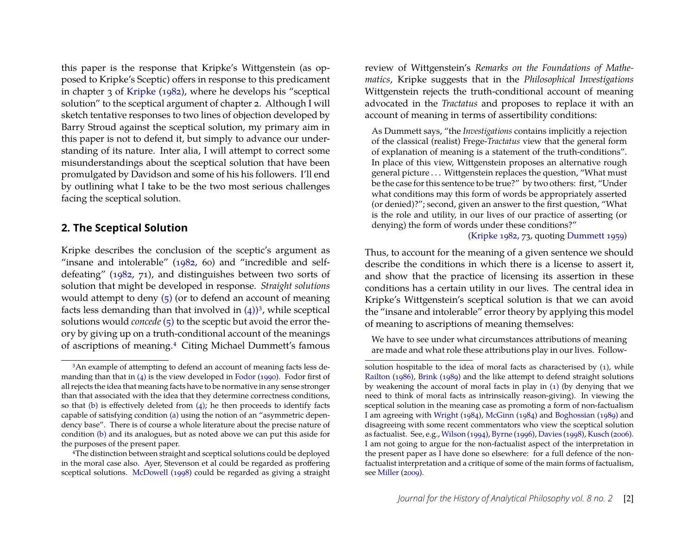this paper is the response that Kripke's Wittgenstein (as opposed to Kripke's Sceptic) offers in response to this predicament in chapter 3 of [Kripke](#page-21-1) [\(1982\)](#page-21-1), where he develops his "sceptical solution" to the sceptical argument of chapter 2. Although I will sketch tentative responses to two lines of objection developed by Barry Stroud against the sceptical solution, my primary aim in this paper is not to defend it, but simply to advance our understanding of its nature. Inter alia, I will attempt to correct some misunderstandings about the sceptical solution that have been promulgated by Davidson and some of his his followers. I'll end by outlining what I take to be the two most serious challenges facing the sceptical solution.

#### <span id="page-2-2"></span>**2. The Sceptical Solution**

Kripke describes the conclusion of the sceptic's argument as "insane and intolerable" [\(1982,](#page-21-1) 60) and "incredible and selfdefeating" [\(1982,](#page-21-1) 71), and distinguishes between two sorts of solution that might be developed in response. *Straight solutions* would attempt to deny  $(5)$  (or to defend an account of meaning facts less demanding than that involved in  $(4)$ <sup>[3](#page-2-0)</sup>, while sceptical solutions would *concede* [\(5\)](#page-1-0) to the sceptic but avoid the error theory by giving up on a truth-conditional account of the meanings of ascriptions of meaning.[4](#page-2-1) Citing Michael Dummett's famous review of Wittgenstein's *Remarks on the Foundations of Mathematics*, Kripke suggests that in the *Philosophical Investigations* Wittgenstein rejects the truth-conditional account of meaning advocated in the *Tractatus* and proposes to replace it with an account of meaning in terms of assertibility conditions:

As Dummett says, "the *Investigations* contains implicitly a rejection of the classical (realist) Frege-*Tractatus* view that the general form of explanation of meaning is a statement of the truth-conditions". In place of this view, Wittgenstein proposes an alternative rough general picture . . . Wittgenstein replaces the question, "What must be the case for this sentence to be true?" by two others: first, "Under what conditions may this form of words be appropriately asserted (or denied)?"; second, given an answer to the first question, "What is the role and utility, in our lives of our practice of asserting (or denying) the form of words under these conditions?"

[\(Kripke 1982,](#page-21-1) 73, quoting [Dummett 1959\)](#page-20-4)

Thus, to account for the meaning of a given sentence we should describe the conditions in which there is a license to assert it, and show that the practice of licensing its assertion in these conditions has a certain utility in our lives. The central idea in Kripke's Wittgenstein's sceptical solution is that we can avoid the "insane and intolerable" error theory by applying this model of meaning to ascriptions of meaning themselves:

We have to see under what circumstances attributions of meaning are made and what role these attributions play in our lives. Follow-

<span id="page-2-0"></span><sup>&</sup>lt;sup>3</sup>An example of attempting to defend an account of meaning facts less demanding than that in  $(4)$  is the view developed in [Fodor](#page-20-3) [\(1990\)](#page-20-3). Fodor first of all rejects the idea that meaning facts have to be normative in any sense stronger than that associated with the idea that they determine correctness conditions, so that [\(b\)](#page-1-0) is effectively deleted from  $(4)$ ; he then proceeds to identify facts capable of satisfying condition [\(a\)](#page-1-0) using the notion of an "asymmetric dependency base". There is of course a whole literature about the precise nature of condition [\(b\)](#page-1-0) and its analogues, but as noted above we can put this aside for the purposes of the present paper.

<span id="page-2-1"></span><sup>4</sup>The distinction between straight and sceptical solutions could be deployed in the moral case also. Ayer, Stevenson et al could be regarded as proffering sceptical solutions. [McDowell](#page-21-4) [\(1998\)](#page-21-4) could be regarded as giving a straight

solution hospitable to the idea of moral facts as characterised by  $(1)$ , while [Railton](#page-21-5) [\(1986\)](#page-21-5), [Brink](#page-20-5) [\(1989\)](#page-20-5) and the like attempt to defend straight solutions by weakening the account of moral facts in play in [\(1\)](#page-1-0) (by denying that we need to think of moral facts as intrinsically reason-giving). In viewing the sceptical solution in the meaning case as promoting a form of non-factualism I am agreeing with [Wright](#page-22-0) [\(1984\)](#page-22-0), [McGinn](#page-21-6) [\(1984\)](#page-21-6) and [Boghossian](#page-20-6) [\(1989\)](#page-20-6) and disagreeing with some recent commentators who view the sceptical solution as factualist. See, e.g., [Wilson](#page-22-1) [\(1994\)](#page-22-1), [Byrne](#page-20-7) [\(1996\)](#page-20-7), [Davies](#page-20-8) [\(1998\)](#page-20-8), [Kusch](#page-21-7) [\(2006\)](#page-21-7). I am not going to argue for the non-factualist aspect of the interpretation in the present paper as I have done so elsewhere: for a full defence of the nonfactualist interpretation and a critique of some of the main forms of factualism, see [Miller](#page-21-8) [\(2009\)](#page-21-8).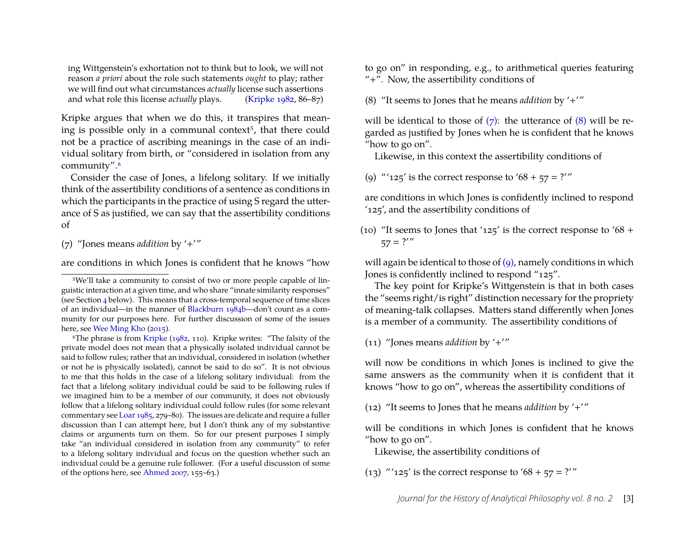ing Wittgenstein's exhortation not to think but to look, we will not reason *a priori* about the role such statements *ought* to play; rather we will find out what circumstances *actually* license such assertions and what role this license *actually* plays. [\(Kripke 1982,](#page-21-1) 86–87)

Kripke argues that when we do this, it transpires that mean-ing is possible only in a communal context<sup>[5](#page-3-0)</sup>, that there could not be a practice of ascribing meanings in the case of an individual solitary from birth, or "considered in isolation from any community".[6](#page-3-1)

Consider the case of Jones, a lifelong solitary. If we initially think of the assertibility conditions of a sentence as conditions in which the participants in the practice of using S regard the utterance of S as justified, we can say that the assertibility conditions of

(7) "Jones means *addition* by '+'"

are conditions in which Jones is confident that he knows "how

to go on" in responding, e.g., to arithmetical queries featuring "+". Now, the assertibility conditions of

(8) "It seems to Jones that he means *addition* by '+'"

will be identical to those of  $(7)$ : the utterance of  $(8)$  will be regarded as justified by Jones when he is confident that he knows "how to go on".

Likewise, in this context the assertibility conditions of

(9) "' $125'$  is the correct response to ' $68 + 57 = ?''$ 

are conditions in which Jones is confidently inclined to respond '125', and the assertibility conditions of

(10) "It seems to Jones that '125' is the correct response to '68 +  $57 = ?''$ 

will again be identical to those of  $(q)$ , namely conditions in which Jones is confidently inclined to respond "125".

The key point for Kripke's Wittgenstein is that in both cases the "seems right/is right" distinction necessary for the propriety of meaning-talk collapses. Matters stand differently when Jones is a member of a community. The assertibility conditions of

(11) "Jones means *addition* by '+'"

will now be conditions in which Jones is inclined to give the same answers as the community when it is confident that it knows "how to go on", whereas the assertibility conditions of

(12) "It seems to Jones that he means *addition* by '+'"

will be conditions in which Jones is confident that he knows "how to go on".

Likewise, the assertibility conditions of

(13) "'125' is the correct response to '68 + 57 = ?'"

<span id="page-3-0"></span><sup>5</sup>We'll take a community to consist of two or more people capable of linguistic interaction at a given time, and who share "innate similarity responses" (see Section [4](#page-7-0) below). This means that a cross-temporal sequence of time slices of an individual—in the manner of [Blackburn 1984b—](#page-19-2)don't count as a community for our purposes here. For further discussion of some of the issues here, see [Wee Ming Kho](#page-22-2) [\(2015\)](#page-22-2).

<span id="page-3-1"></span><sup>6</sup>The phrase is from [Kripke](#page-21-1) [\(1982,](#page-21-1) 110). Kripke writes: "The falsity of the private model does not mean that a physically isolated individual cannot be said to follow rules; rather that an individual, considered in isolation (whether or not he is physically isolated), cannot be said to do so". It is not obvious to me that this holds in the case of a lifelong solitary individual: from the fact that a lifelong solitary individual could be said to be following rules if we imagined him to be a member of our community, it does not obviously follow that a lifelong solitary individual could follow rules (for some relevant commentary see [Loar 1985,](#page-21-9) 279–80). The issues are delicate and require a fuller discussion than I can attempt here, but I don't think any of my substantive claims or arguments turn on them. So for our present purposes I simply take "an individual considered in isolation from any community" to refer to a lifelong solitary individual and focus on the question whether such an individual could be a genuine rule follower. (For a useful discussion of some of the options here, see [Ahmed 2007,](#page-19-3) 155–63.)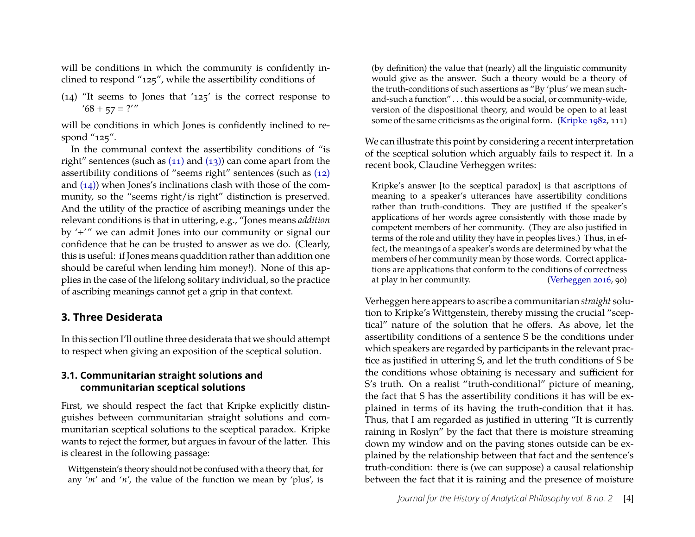will be conditions in which the community is confidently inclined to respond "125", while the assertibility conditions of

(14) "It seems to Jones that '125' is the correct response to  $'68 + 57 = ?''$ 

will be conditions in which Jones is confidently inclined to respond "125".

In the communal context the assertibility conditions of "is right" sentences (such as  $(11)$  and  $(13)$ ) can come apart from the assertibility conditions of "seems right" sentences (such as [\(12\)](#page-2-2) and [\(14\)\)](#page-2-2) when Jones's inclinations clash with those of the community, so the "seems right/is right" distinction is preserved. And the utility of the practice of ascribing meanings under the relevant conditions is that in uttering, e.g., "Jones means *addition* by '+'" we can admit Jones into our community or signal our confidence that he can be trusted to answer as we do. (Clearly, this is useful: if Jones means quaddition rather than addition one should be careful when lending him money!). None of this applies in the case of the lifelong solitary individual, so the practice of ascribing meanings cannot get a grip in that context.

#### <span id="page-4-0"></span>**3. Three Desiderata**

In this section I'll outline three desiderata that we should attempt to respect when giving an exposition of the sceptical solution.

#### **3.1. Communitarian straight solutions and communitarian sceptical solutions**

First, we should respect the fact that Kripke explicitly distinguishes between communitarian straight solutions and communitarian sceptical solutions to the sceptical paradox. Kripke wants to reject the former, but argues in favour of the latter. This is clearest in the following passage:

Wittgenstein's theory should not be confused with a theory that, for any '*m*' and '*n*', the value of the function we mean by 'plus', is (by definition) the value that (nearly) all the linguistic community would give as the answer. Such a theory would be a theory of the truth-conditions of such assertions as "By 'plus' we mean suchand-such a function" . . . this would be a social, or community-wide, version of the dispositional theory, and would be open to at least some of the same criticisms as the original form. [\(Kripke 1982,](#page-21-1) 111)

We can illustrate this point by considering a recent interpretation of the sceptical solution which arguably fails to respect it. In a recent book, Claudine Verheggen writes:

Kripke's answer [to the sceptical paradox] is that ascriptions of meaning to a speaker's utterances have assertibility conditions rather than truth-conditions. They are justified if the speaker's applications of her words agree consistently with those made by competent members of her community. (They are also justified in terms of the role and utility they have in peoples lives.) Thus, in effect, the meanings of a speaker's words are determined by what the members of her community mean by those words. Correct applications are applications that conform to the conditions of correctness at play in her community. [\(Verheggen 2016,](#page-22-3) 90)

Verheggen here appears to ascribe a communitarian *straight* solution to Kripke's Wittgenstein, thereby missing the crucial "sceptical" nature of the solution that he offers. As above, let the assertibility conditions of a sentence S be the conditions under which speakers are regarded by participants in the relevant practice as justified in uttering S, and let the truth conditions of S be the conditions whose obtaining is necessary and sufficient for S's truth. On a realist "truth-conditional" picture of meaning, the fact that S has the assertibility conditions it has will be explained in terms of its having the truth-condition that it has. Thus, that I am regarded as justified in uttering "It is currently raining in Roslyn" by the fact that there is moisture streaming down my window and on the paving stones outside can be explained by the relationship between that fact and the sentence's truth-condition: there is (we can suppose) a causal relationship between the fact that it is raining and the presence of moisture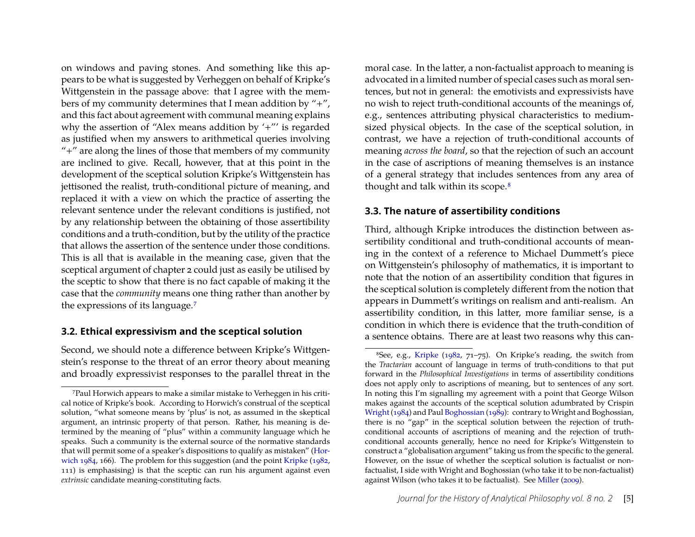on windows and paving stones. And something like this appears to be what is suggested by Verheggen on behalf of Kripke's Wittgenstein in the passage above: that I agree with the members of my community determines that I mean addition by "+", and this fact about agreement with communal meaning explains why the assertion of "Alex means addition by '+"' is regarded as justified when my answers to arithmetical queries involving "+" are along the lines of those that members of my community are inclined to give. Recall, however, that at this point in the development of the sceptical solution Kripke's Wittgenstein has jettisoned the realist, truth-conditional picture of meaning, and replaced it with a view on which the practice of asserting the relevant sentence under the relevant conditions is justified, not by any relationship between the obtaining of those assertibility conditions and a truth-condition, but by the utility of the practice that allows the assertion of the sentence under those conditions. This is all that is available in the meaning case, given that the sceptical argument of chapter 2 could just as easily be utilised by the sceptic to show that there is no fact capable of making it the case that the *community* means one thing rather than another by the expressions of its language.[7](#page-5-0)

#### **3.2. Ethical expressivism and the sceptical solution**

Second, we should note a difference between Kripke's Wittgenstein's response to the threat of an error theory about meaning and broadly expressivist responses to the parallel threat in the moral case. In the latter, a non-factualist approach to meaning is advocated in a limited number of special cases such as moral sentences, but not in general: the emotivists and expressivists have no wish to reject truth-conditional accounts of the meanings of, e.g., sentences attributing physical characteristics to mediumsized physical objects. In the case of the sceptical solution, in contrast, we have a rejection of truth-conditional accounts of meaning *across the board*, so that the rejection of such an account in the case of ascriptions of meaning themselves is an instance of a general strategy that includes sentences from any area of thought and talk within its scope.<sup>[8](#page-5-1)</sup>

#### **3.3. The nature of assertibility conditions**

Third, although Kripke introduces the distinction between assertibility conditional and truth-conditional accounts of meaning in the context of a reference to Michael Dummett's piece on Wittgenstein's philosophy of mathematics, it is important to note that the notion of an assertibility condition that figures in the sceptical solution is completely different from the notion that appears in Dummett's writings on realism and anti-realism. An assertibility condition, in this latter, more familiar sense, is a condition in which there is evidence that the truth-condition of a sentence obtains. There are at least two reasons why this can-

<span id="page-5-0"></span><sup>7</sup>Paul Horwich appears to make a similar mistake to Verheggen in his critical notice of Kripke's book. According to Horwich's construal of the sceptical solution, "what someone means by 'plus' is not, as assumed in the skeptical argument, an intrinsic property of that person. Rather, his meaning is determined by the meaning of "plus" within a community language which he speaks. Such a community is the external source of the normative standards that will permit some of a speaker's dispositions to qualify as mistaken" [\(Hor](#page-21-10)[wich 1984,](#page-21-10) 166). The problem for this suggestion (and the point [Kripke](#page-21-1) [\(1982,](#page-21-1) 111) is emphasising) is that the sceptic can run his argument against even *extrinsic* candidate meaning-constituting facts.

<span id="page-5-1"></span><sup>8</sup>See, e.g., [Kripke](#page-21-1) [\(1982,](#page-21-1) 71–75). On Kripke's reading, the switch from the *Tractarian* account of language in terms of truth-conditions to that put forward in the *Philosophical Investigations* in terms of assertibility conditions does not apply only to ascriptions of meaning, but to sentences of any sort. In noting this I'm signalling my agreement with a point that George Wilson makes against the accounts of the sceptical solution adumbrated by Crispin [Wright](#page-22-0) [\(1984\)](#page-22-0) and Paul [Boghossian](#page-20-6) [\(1989\)](#page-20-6): contrary to Wright and Boghossian, there is no "gap" in the sceptical solution between the rejection of truthconditional accounts of ascriptions of meaning and the rejection of truthconditional accounts generally, hence no need for Kripke's Wittgenstein to construct a "globalisation argument" taking us from the specific to the general. However, on the issue of whether the sceptical solution is factualist or nonfactualist, I side with Wright and Boghossian (who take it to be non-factualist) against Wilson (who takes it to be factualist). See [Miller](#page-21-8) [\(2009\)](#page-21-8).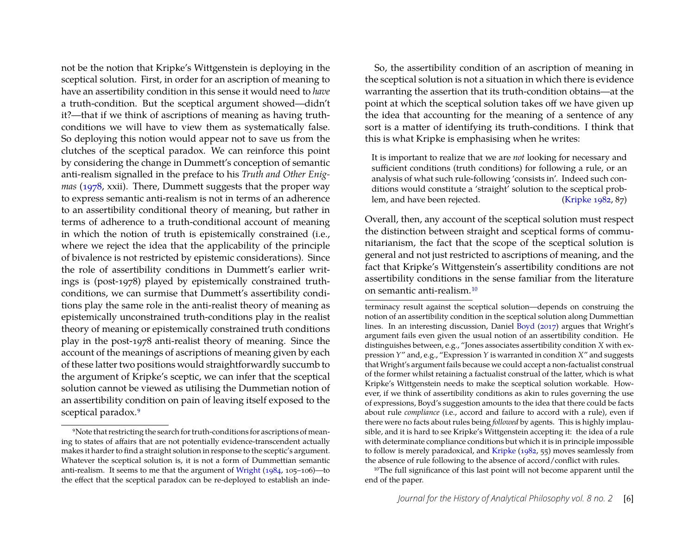not be the notion that Kripke's Wittgenstein is deploying in the sceptical solution. First, in order for an ascription of meaning to have an assertibility condition in this sense it would need to *have* a truth-condition. But the sceptical argument showed—didn't it?—that if we think of ascriptions of meaning as having truthconditions we will have to view them as systematically false. So deploying this notion would appear not to save us from the clutches of the sceptical paradox. We can reinforce this point by considering the change in Dummett's conception of semantic anti-realism signalled in the preface to his *Truth and Other Enigmas* [\(1978,](#page-20-9) xxii). There, Dummett suggests that the proper way to express semantic anti-realism is not in terms of an adherence to an assertibility conditional theory of meaning, but rather in terms of adherence to a truth-conditional account of meaning in which the notion of truth is epistemically constrained (i.e., where we reject the idea that the applicability of the principle of bivalence is not restricted by epistemic considerations). Since the role of assertibility conditions in Dummett's earlier writings is (post-1978) played by epistemically constrained truthconditions, we can surmise that Dummett's assertibility conditions play the same role in the anti-realist theory of meaning as epistemically unconstrained truth-conditions play in the realist theory of meaning or epistemically constrained truth conditions play in the post-1978 anti-realist theory of meaning. Since the account of the meanings of ascriptions of meaning given by each of these latter two positions would straightforwardly succumb to the argument of Kripke's sceptic, we can infer that the sceptical solution cannot be viewed as utilising the Dummetian notion of an assertibility condition on pain of leaving itself exposed to the sceptical paradox.<sup>[9](#page-6-0)</sup>

So, the assertibility condition of an ascription of meaning in the sceptical solution is not a situation in which there is evidence warranting the assertion that its truth-condition obtains—at the point at which the sceptical solution takes off we have given up the idea that accounting for the meaning of a sentence of any sort is a matter of identifying its truth-conditions. I think that this is what Kripke is emphasising when he writes:

It is important to realize that we are *not* looking for necessary and sufficient conditions (truth conditions) for following a rule, or an analysis of what such rule-following 'consists in'. Indeed such conditions would constitute a 'straight' solution to the sceptical problem, and have been rejected. [\(Kripke 1982,](#page-21-1) 87)

Overall, then, any account of the sceptical solution must respect the distinction between straight and sceptical forms of communitarianism, the fact that the scope of the sceptical solution is general and not just restricted to ascriptions of meaning, and the fact that Kripke's Wittgenstein's assertibility conditions are not assertibility conditions in the sense familiar from the literature on semantic anti-realism.[10](#page-6-1)

terminacy result against the sceptical solution—depends on construing the notion of an assertibility condition in the sceptical solution along Dummettian lines. In an interesting discussion, Daniel [Boyd](#page-20-10) [\(2017\)](#page-20-10) argues that Wright's argument fails even given the usual notion of an assertibility condition. He distinguishes between, e.g., "Jones associates assertibility condition *X* with expression *Y*" and, e.g., "Expression *Y* is warranted in condition *X*" and suggests that Wright's argument fails because we could accept a non-factualist construal of the former whilst retaining a factualist construal of the latter, which is what Kripke's Wittgenstein needs to make the sceptical solution workable. However, if we think of assertibility conditions as akin to rules governing the use of expressions, Boyd's suggestion amounts to the idea that there could be facts about rule *compliance* (i.e., accord and failure to accord with a rule), even if there were no facts about rules being *followed* by agents. This is highly implausible, and it is hard to see Kripke's Wittgenstein accepting it: the idea of a rule with determinate compliance conditions but which it is in principle impossible to follow is merely paradoxical, and [Kripke](#page-21-1) [\(1982,](#page-21-1) 55) moves seamlessly from the absence of rule following to the absence of accord/conflict with rules.

<span id="page-6-1"></span><sup>10</sup>The full significance of this last point will not become apparent until the end of the paper.

<span id="page-6-0"></span><sup>9</sup>Note that restricting the search for truth-conditions for ascriptions of meaning to states of affairs that are not potentially evidence-transcendent actually makes it harder to find a straight solution in response to the sceptic's argument. Whatever the sceptical solution is, it is not a form of Dummettian semantic anti-realism. It seems to me that the argument of [Wright](#page-22-0) [\(1984,](#page-22-0) 105–106)—to the effect that the sceptical paradox can be re-deployed to establish an inde-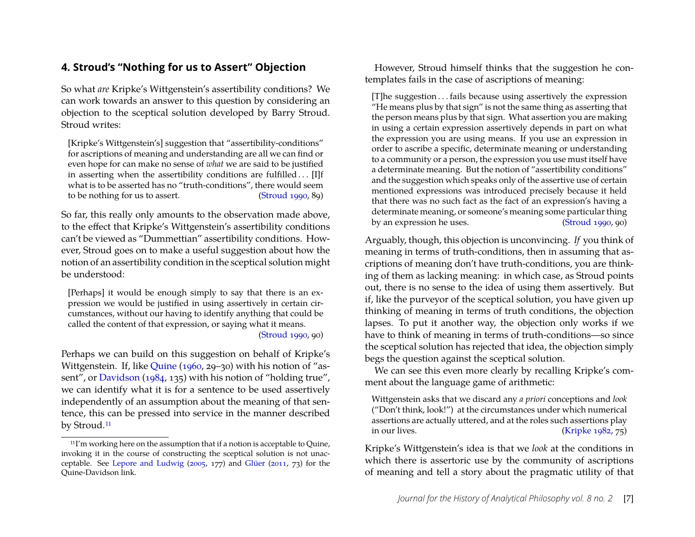## <span id="page-7-0"></span>**4. Stroud's "Nothing for us to Assert" Objection**

So what *are* Kripke's Wittgenstein's assertibility conditions? We can work towards an answer to this question by considering an objection to the sceptical solution developed by Barry Stroud. Stroud writes:

[Kripke's Wittgenstein's] suggestion that "assertibility-conditions" for ascriptions of meaning and understanding are all we can find or even hope for can make no sense of *what* we are said to be justified in asserting when the assertibility conditions are fulfilled . . . [I]f what is to be asserted has no "truth-conditions", there would seem to be nothing for us to assert. [\(Stroud 1990,](#page-22-4) 89)

So far, this really only amounts to the observation made above, to the effect that Kripke's Wittgenstein's assertibility conditions can't be viewed as "Dummettian" assertibility conditions. However, Stroud goes on to make a useful suggestion about how the notion of an assertibility condition in the sceptical solution might be understood:

[Perhaps] it would be enough simply to say that there is an expression we would be justified in using assertively in certain circumstances, without our having to identify anything that could be called the content of that expression, or saying what it means. [\(Stroud 1990,](#page-22-4) 90)

Perhaps we can build on this suggestion on behalf of Kripke's Wittgenstein. If, like [Quine](#page-21-11) [\(1960,](#page-21-11) 29–30) with his notion of "assent", or [Davidson](#page-20-11) [\(1984,](#page-20-11) 135) with his notion of "holding true", we can identify what it is for a sentence to be used assertively independently of an assumption about the meaning of that sentence, this can be pressed into service in the manner described by Stroud.<sup>[11](#page-7-1)</sup>

However, Stroud himself thinks that the suggestion he contemplates fails in the case of ascriptions of meaning:

[T]he suggestion . . . fails because using assertively the expression "He means plus by that sign" is not the same thing as asserting that the person means plus by that sign. What assertion you are making in using a certain expression assertively depends in part on what the expression you are using means. If you use an expression in order to ascribe a specific, determinate meaning or understanding to a community or a person, the expression you use must itself have a determinate meaning. But the notion of "assertibility conditions" and the suggestion which speaks only of the assertive use of certain mentioned expressions was introduced precisely because it held that there was no such fact as the fact of an expression's having a determinate meaning, or someone's meaning some particular thing by an expression he uses. [\(Stroud 1990,](#page-22-4) 90)

Arguably, though, this objection is unconvincing. *If* you think of meaning in terms of truth-conditions, then in assuming that ascriptions of meaning don't have truth-conditions, you are thinking of them as lacking meaning: in which case, as Stroud points out, there is no sense to the idea of using them assertively. But if, like the purveyor of the sceptical solution, you have given up thinking of meaning in terms of truth conditions, the objection lapses. To put it another way, the objection only works if we have to think of meaning in terms of truth-conditions—so since the sceptical solution has rejected that idea, the objection simply begs the question against the sceptical solution.

We can see this even more clearly by recalling Kripke's comment about the language game of arithmetic:

Wittgenstein asks that we discard any *a priori* conceptions and *look* ("Don't think, look!") at the circumstances under which numerical assertions are actually uttered, and at the roles such assertions play in our lives. [\(Kripke 1982,](#page-21-1) 75)

Kripke's Wittgenstein's idea is that we *look* at the conditions in which there is assertoric use by the community of ascriptions of meaning and tell a story about the pragmatic utility of that

<span id="page-7-1"></span><sup>&</sup>lt;sup>11</sup>I'm working here on the assumption that if a notion is acceptable to Quine, invoking it in the course of constructing the sceptical solution is not unacceptable. See [Lepore and Ludwig](#page-21-12) [\(2005,](#page-21-12) 177) and [Glüer](#page-21-13) [\(2011,](#page-21-13) 73) for the Quine-Davidson link.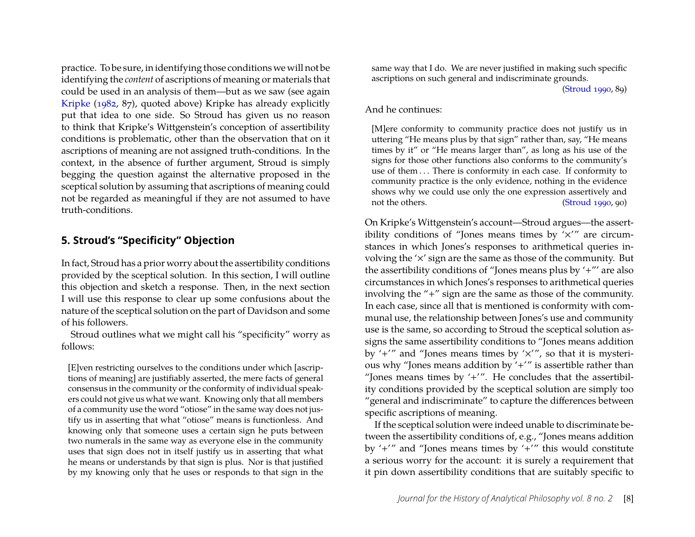practice. To be sure, in identifying those conditions we will not be identifying the *content* of ascriptions of meaning or materials that could be used in an analysis of them—but as we saw (see again [Kripke](#page-21-1) [\(1982,](#page-21-1) 87), quoted above) Kripke has already explicitly put that idea to one side. So Stroud has given us no reason to think that Kripke's Wittgenstein's conception of assertibility conditions is problematic, other than the observation that on it ascriptions of meaning are not assigned truth-conditions. In the context, in the absence of further argument, Stroud is simply begging the question against the alternative proposed in the sceptical solution by assuming that ascriptions of meaning could not be regarded as meaningful if they are not assumed to have truth-conditions.

#### <span id="page-8-0"></span>**5. Stroud's "Specificity" Objection**

In fact, Stroud has a prior worry about the assertibility conditions provided by the sceptical solution. In this section, I will outline this objection and sketch a response. Then, in the next section I will use this response to clear up some confusions about the nature of the sceptical solution on the part of Davidson and some of his followers.

Stroud outlines what we might call his "specificity" worry as follows:

[E]ven restricting ourselves to the conditions under which [ascriptions of meaning] are justifiably asserted, the mere facts of general consensus in the community or the conformity of individual speakers could not give us what we want. Knowing only that all members of a community use the word "otiose" in the same way does not justify us in asserting that what "otiose" means is functionless. And knowing only that someone uses a certain sign he puts between two numerals in the same way as everyone else in the community uses that sign does not in itself justify us in asserting that what he means or understands by that sign is plus. Nor is that justified by my knowing only that he uses or responds to that sign in the

same way that I do. We are never justified in making such specific ascriptions on such general and indiscriminate grounds.

[\(Stroud 1990,](#page-22-4) 89)

#### And he continues:

[M]ere conformity to community practice does not justify us in uttering "He means plus by that sign" rather than, say, "He means times by it" or "He means larger than", as long as his use of the signs for those other functions also conforms to the community's use of them ... There is conformity in each case. If conformity to community practice is the only evidence, nothing in the evidence shows why we could use only the one expression assertively and not the others. [\(Stroud 1990,](#page-22-4) 90)

On Kripke's Wittgenstein's account—Stroud argues—the assertibility conditions of "Jones means times by  $'x''$  are circumstances in which Jones's responses to arithmetical queries involving the '×' sign are the same as those of the community. But the assertibility conditions of "Jones means plus by '+"' are also circumstances in which Jones's responses to arithmetical queries involving the "+" sign are the same as those of the community. In each case, since all that is mentioned is conformity with communal use, the relationship between Jones's use and community use is the same, so according to Stroud the sceptical solution assigns the same assertibility conditions to "Jones means addition by '+'" and "Jones means times by '×'", so that it is mysterious why "Jones means addition by '+'" is assertible rather than "Jones means times by '+'". He concludes that the assertibility conditions provided by the sceptical solution are simply too "general and indiscriminate" to capture the differences between specific ascriptions of meaning.

If the sceptical solution were indeed unable to discriminate between the assertibility conditions of, e.g., "Jones means addition by '+'" and "Jones means times by '+'" this would constitute a serious worry for the account: it is surely a requirement that it pin down assertibility conditions that are suitably specific to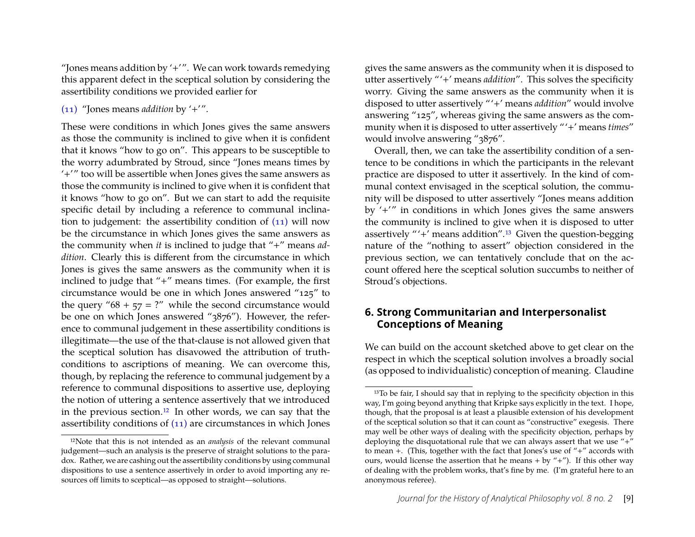"Jones means addition by  $'$ +'". We can work towards remedying this apparent defect in the sceptical solution by considering the assertibility conditions we provided earlier for

[\(11\)](#page-2-2) "Jones means *addition* by '+'".

These were conditions in which Jones gives the same answers as those the community is inclined to give when it is confident that it knows "how to go on". This appears to be susceptible to the worry adumbrated by Stroud, since "Jones means times by '+'" too will be assertible when Jones gives the same answers as those the community is inclined to give when it is confident that it knows "how to go on". But we can start to add the requisite specific detail by including a reference to communal inclination to judgement: the assertibility condition of [\(11\)](#page-2-2) will now be the circumstance in which Jones gives the same answers as the community when *it* is inclined to judge that "+" means *addition*. Clearly this is different from the circumstance in which Jones is gives the same answers as the community when it is inclined to judge that "+" means times. (For example, the first circumstance would be one in which Jones answered "125" to the query " $68 + 57 = ?$ " while the second circumstance would be one on which Jones answered "3876"). However, the reference to communal judgement in these assertibility conditions is illegitimate—the use of the that-clause is not allowed given that the sceptical solution has disavowed the attribution of truthconditions to ascriptions of meaning. We can overcome this, though, by replacing the reference to communal judgement by a reference to communal dispositions to assertive use, deploying the notion of uttering a sentence assertively that we introduced in the previous section.[12](#page-9-0) In other words, we can say that the assertibility conditions of [\(11\)](#page-2-2) are circumstances in which Jones

gives the same answers as the community when it is disposed to utter assertively "'+' means *addition*". This solves the specificity worry. Giving the same answers as the community when it is disposed to utter assertively "'+' means *addition*" would involve answering "125", whereas giving the same answers as the community when it is disposed to utter assertively "'+' means *times*" would involve answering "3876".

Overall, then, we can take the assertibility condition of a sentence to be conditions in which the participants in the relevant practice are disposed to utter it assertively. In the kind of communal context envisaged in the sceptical solution, the community will be disposed to utter assertively "Jones means addition by '+'" in conditions in which Jones gives the same answers the community is inclined to give when it is disposed to utter assertively "'+' means addition".[13](#page-9-1) Given the question-begging nature of the "nothing to assert" objection considered in the previous section, we can tentatively conclude that on the account offered here the sceptical solution succumbs to neither of Stroud's objections.

### <span id="page-9-2"></span>**6. Strong Communitarian and Interpersonalist Conceptions of Meaning**

We can build on the account sketched above to get clear on the respect in which the sceptical solution involves a broadly social (as opposed to individualistic) conception of meaning. Claudine

<span id="page-9-0"></span><sup>12</sup>Note that this is not intended as an *analysis* of the relevant communal judgement—such an analysis is the preserve of straight solutions to the paradox. Rather, we are cashing out the assertibility conditions by using communal dispositions to use a sentence assertively in order to avoid importing any resources off limits to sceptical—as opposed to straight—solutions.

<span id="page-9-1"></span><sup>&</sup>lt;sup>13</sup>To be fair, I should say that in replying to the specificity objection in this way, I'm going beyond anything that Kripke says explicitly in the text. I hope, though, that the proposal is at least a plausible extension of his development of the sceptical solution so that it can count as "constructive" exegesis. There may well be other ways of dealing with the specificity objection, perhaps by deploying the disquotational rule that we can always assert that we use "+" to mean +. (This, together with the fact that Jones's use of "+" accords with ours, would license the assertion that he means  $+$  by  $4$ –"). If this other way of dealing with the problem works, that's fine by me. (I'm grateful here to an anonymous referee).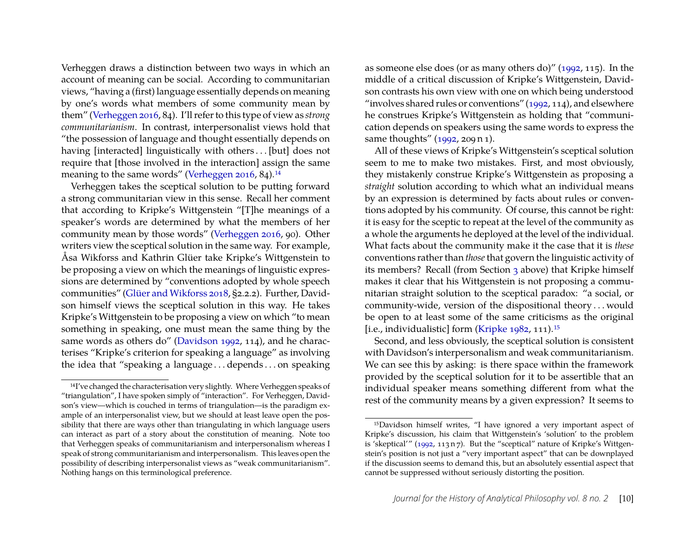Verheggen draws a distinction between two ways in which an account of meaning can be social. According to communitarian views, "having a (first) language essentially depends on meaning by one's words what members of some community mean by them" [\(Verheggen 2016,](#page-22-3) 84). I'll refer to this type of view as *strong communitarianism*. In contrast, interpersonalist views hold that "the possession of language and thought essentially depends on having [interacted] linguistically with others ... [but] does not require that [those involved in the interaction] assign the same meaning to the same words" [\(Verheggen 2016,](#page-22-3) 84).<sup>[14](#page-10-0)</sup>

Verheggen takes the sceptical solution to be putting forward a strong communitarian view in this sense. Recall her comment that according to Kripke's Wittgenstein "[T]he meanings of a speaker's words are determined by what the members of her community mean by those words" [\(Verheggen 2016,](#page-22-3) 90). Other writers view the sceptical solution in the same way. For example, Åsa Wikforss and Kathrin Glüer take Kripke's Wittgenstein to be proposing a view on which the meanings of linguistic expressions are determined by "conventions adopted by whole speech communities" [\(Glüer and Wikforss 2018,](#page-21-14) §2.2.2). Further, Davidson himself views the sceptical solution in this way. He takes Kripke's Wittgenstein to be proposing a view on which "to mean something in speaking, one must mean the same thing by the same words as others do" [\(Davidson 1992,](#page-20-12) 114), and he characterises "Kripke's criterion for speaking a language" as involving the idea that "speaking a language . . . depends . . . on speaking

as someone else does (or as many others do)" [\(1992,](#page-20-12) 115). In the middle of a critical discussion of Kripke's Wittgenstein, Davidson contrasts his own view with one on which being understood "involves shared rules or conventions"  $(1992, 114)$ , and elsewhere he construes Kripke's Wittgenstein as holding that "communication depends on speakers using the same words to express the same thoughts" [\(1992,](#page-20-12) 209 n 1).

All of these views of Kripke's Wittgenstein's sceptical solution seem to me to make two mistakes. First, and most obviously, they mistakenly construe Kripke's Wittgenstein as proposing a *straight* solution according to which what an individual means by an expression is determined by facts about rules or conventions adopted by his community. Of course, this cannot be right: it is easy for the sceptic to repeat at the level of the community as a whole the arguments he deployed at the level of the individual. What facts about the community make it the case that it is *these* conventions rather than *those*that govern the linguistic activity of its members? Recall (from Section [3](#page-4-0) above) that Kripke himself makes it clear that his Wittgenstein is not proposing a communitarian straight solution to the sceptical paradox: "a social, or community-wide, version of the dispositional theory . . . would be open to at least some of the same criticisms as the original [i.e., individualistic] form [\(Kripke 1982,](#page-21-1) 111).<sup>[15](#page-10-1)</sup>

Second, and less obviously, the sceptical solution is consistent with Davidson's interpersonalism and weak communitarianism. We can see this by asking: is there space within the framework provided by the sceptical solution for it to be assertible that an individual speaker means something different from what the rest of the community means by a given expression? It seems to

<span id="page-10-0"></span><sup>14</sup>I've changed the characterisation very slightly. Where Verheggen speaks of "triangulation", I have spoken simply of "interaction". For Verheggen, Davidson's view—which is couched in terms of triangulation—is the paradigm example of an interpersonalist view, but we should at least leave open the possibility that there are ways other than triangulating in which language users can interact as part of a story about the constitution of meaning. Note too that Verheggen speaks of communitarianism and interpersonalism whereas I speak of strong communitarianism and interpersonalism. This leaves open the possibility of describing interpersonalist views as "weak communitarianism". Nothing hangs on this terminological preference.

<span id="page-10-1"></span><sup>15</sup>Davidson himself writes, "I have ignored a very important aspect of Kripke's discussion, his claim that Wittgenstein's 'solution' to the problem is 'skeptical'" [\(1992,](#page-20-12) 113 n 7). But the "sceptical" nature of Kripke's Wittgenstein's position is not just a "very important aspect" that can be downplayed if the discussion seems to demand this, but an absolutely essential aspect that cannot be suppressed without seriously distorting the position.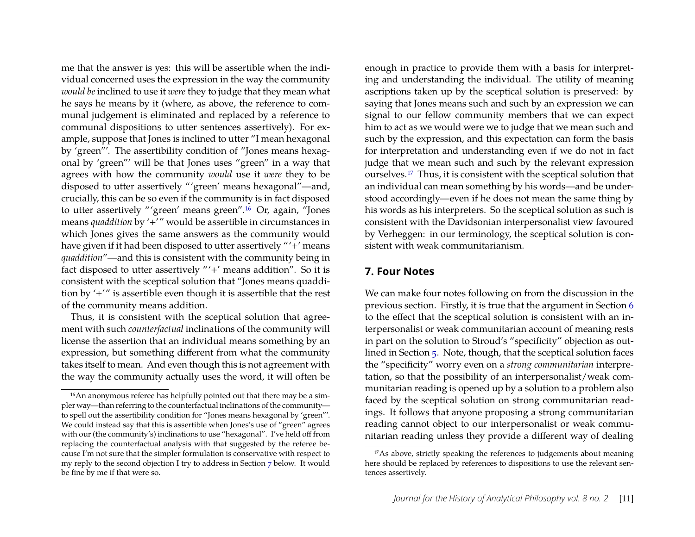me that the answer is yes: this will be assertible when the individual concerned uses the expression in the way the community *would be* inclined to use it *were* they to judge that they mean what he says he means by it (where, as above, the reference to communal judgement is eliminated and replaced by a reference to communal dispositions to utter sentences assertively). For example, suppose that Jones is inclined to utter "I mean hexagonal by 'green"'. The assertibility condition of "Jones means hexagonal by 'green"' will be that Jones uses "green" in a way that agrees with how the community *would* use it *were* they to be disposed to utter assertively "'green' means hexagonal"—and, crucially, this can be so even if the community is in fact disposed to utter assertively "'green' means green".[16](#page-11-0) Or, again, "Jones means *quaddition* by '+'" would be assertible in circumstances in which Jones gives the same answers as the community would have given if it had been disposed to utter assertively "'+' means *quaddition*"—and this is consistent with the community being in fact disposed to utter assertively "'+' means addition". So it is consistent with the sceptical solution that "Jones means quaddition by '+'" is assertible even though it is assertible that the rest of the community means addition.

Thus, it is consistent with the sceptical solution that agreement with such *counterfactual* inclinations of the community will license the assertion that an individual means something by an expression, but something different from what the community takes itself to mean. And even though this is not agreement with the way the community actually uses the word, it will often be

enough in practice to provide them with a basis for interpreting and understanding the individual. The utility of meaning ascriptions taken up by the sceptical solution is preserved: by saying that Jones means such and such by an expression we can signal to our fellow community members that we can expect him to act as we would were we to judge that we mean such and such by the expression, and this expectation can form the basis for interpretation and understanding even if we do not in fact judge that we mean such and such by the relevant expression ourselves.[17](#page-11-2) Thus, it is consistent with the sceptical solution that an individual can mean something by his words—and be understood accordingly—even if he does not mean the same thing by his words as his interpreters. So the sceptical solution as such is consistent with the Davidsonian interpersonalist view favoured by Verheggen: in our terminology, the sceptical solution is consistent with weak communitarianism.

#### <span id="page-11-1"></span>**7. Four Notes**

We can make four notes following on from the discussion in the previous section. Firstly, it is true that the argument in Section [6](#page-9-2) to the effect that the sceptical solution is consistent with an interpersonalist or weak communitarian account of meaning rests in part on the solution to Stroud's "specificity" objection as outlined in Section [5.](#page-8-0) Note, though, that the sceptical solution faces the "specificity" worry even on a *strong communitarian* interpretation, so that the possibility of an interpersonalist/weak communitarian reading is opened up by a solution to a problem also faced by the sceptical solution on strong communitarian readings. It follows that anyone proposing a strong communitarian reading cannot object to our interpersonalist or weak communitarian reading unless they provide a different way of dealing

<span id="page-11-0"></span><sup>&</sup>lt;sup>16</sup>An anonymous referee has helpfully pointed out that there may be a simpler way—than referring to the counterfactual inclinations of the community to spell out the assertibility condition for "Jones means hexagonal by 'green"'. We could instead say that this is assertible when Jones's use of "green" agrees with our (the community's) inclinations to use "hexagonal". I've held off from replacing the counterfactual analysis with that suggested by the referee because I'm not sure that the simpler formulation is conservative with respect to my reply to the second objection I try to address in Section [7](#page-11-1) below. It would be fine by me if that were so.

<span id="page-11-2"></span><sup>&</sup>lt;sup>17</sup>As above, strictly speaking the references to judgements about meaning here should be replaced by references to dispositions to use the relevant sentences assertively.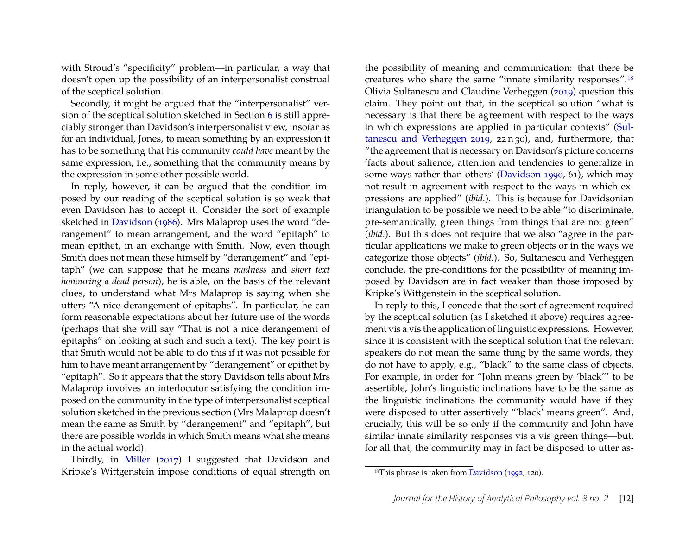with Stroud's "specificity" problem—in particular, a way that doesn't open up the possibility of an interpersonalist construal of the sceptical solution.

Secondly, it might be argued that the "interpersonalist" version of the sceptical solution sketched in Section [6](#page-9-2) is still appreciably stronger than Davidson's interpersonalist view, insofar as for an individual, Jones, to mean something by an expression it has to be something that his community *could have* meant by the same expression, i.e., something that the community means by the expression in some other possible world.

In reply, however, it can be argued that the condition imposed by our reading of the sceptical solution is so weak that even Davidson has to accept it. Consider the sort of example sketched in [Davidson](#page-20-13) [\(1986\)](#page-20-13). Mrs Malaprop uses the word "derangement" to mean arrangement, and the word "epitaph" to mean epithet, in an exchange with Smith. Now, even though Smith does not mean these himself by "derangement" and "epitaph" (we can suppose that he means *madness* and *short text honouring a dead person*), he is able, on the basis of the relevant clues, to understand what Mrs Malaprop is saying when she utters "A nice derangement of epitaphs". In particular, he can form reasonable expectations about her future use of the words (perhaps that she will say "That is not a nice derangement of epitaphs" on looking at such and such a text). The key point is that Smith would not be able to do this if it was not possible for him to have meant arrangement by "derangement" or epithet by "epitaph". So it appears that the story Davidson tells about Mrs Malaprop involves an interlocutor satisfying the condition imposed on the community in the type of interpersonalist sceptical solution sketched in the previous section (Mrs Malaprop doesn't mean the same as Smith by "derangement" and "epitaph", but there are possible worlds in which Smith means what she means in the actual world).

Thirdly, in [Miller](#page-21-15) [\(2017\)](#page-21-15) I suggested that Davidson and Kripke's Wittgenstein impose conditions of equal strength on

the possibility of meaning and communication: that there be creatures who share the same "innate similarity responses".[18](#page-12-0) Olivia Sultanescu and Claudine Verheggen [\(2019\)](#page-22-5) question this claim. They point out that, in the sceptical solution "what is necessary is that there be agreement with respect to the ways in which expressions are applied in particular contexts" [\(Sul](#page-22-5)[tanescu and Verheggen 2019,](#page-22-5) 22 n 30), and, furthermore, that "the agreement that is necessary on Davidson's picture concerns 'facts about salience, attention and tendencies to generalize in some ways rather than others' [\(Davidson 1990,](#page-20-14) 61), which may not result in agreement with respect to the ways in which expressions are applied" (*ibid.*). This is because for Davidsonian triangulation to be possible we need to be able "to discriminate, pre-semantically, green things from things that are not green" (*ibid.*). But this does not require that we also "agree in the particular applications we make to green objects or in the ways we categorize those objects" (*ibid.*). So, Sultanescu and Verheggen conclude, the pre-conditions for the possibility of meaning imposed by Davidson are in fact weaker than those imposed by Kripke's Wittgenstein in the sceptical solution.

In reply to this, I concede that the sort of agreement required by the sceptical solution (as I sketched it above) requires agreement vis a vis the application of linguistic expressions. However, since it is consistent with the sceptical solution that the relevant speakers do not mean the same thing by the same words, they do not have to apply, e.g., "black" to the same class of objects. For example, in order for "John means green by 'black"' to be assertible, John's linguistic inclinations have to be the same as the linguistic inclinations the community would have if they were disposed to utter assertively "'black' means green". And, crucially, this will be so only if the community and John have similar innate similarity responses vis a vis green things—but, for all that, the community may in fact be disposed to utter as-

<span id="page-12-0"></span><sup>18</sup>This phrase is taken from [Davidson](#page-20-12) [\(1992,](#page-20-12) 120).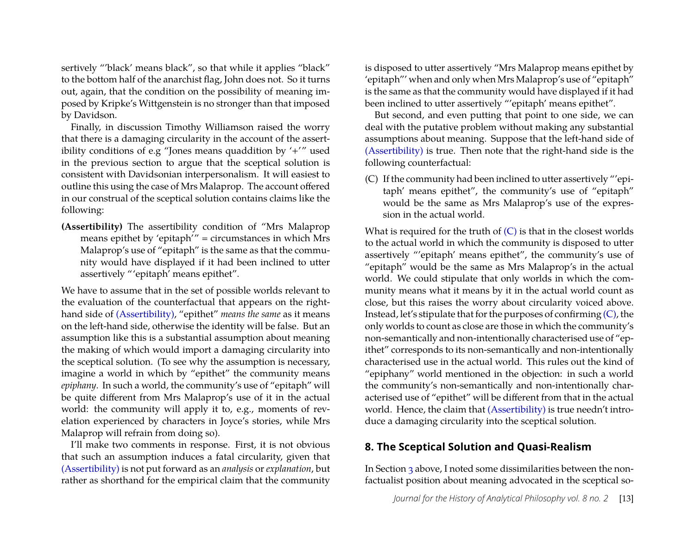sertively "'black' means black", so that while it applies "black" to the bottom half of the anarchist flag, John does not. So it turns out, again, that the condition on the possibility of meaning imposed by Kripke's Wittgenstein is no stronger than that imposed by Davidson.

Finally, in discussion Timothy Williamson raised the worry that there is a damaging circularity in the account of the assertibility conditions of e.g "Jones means quaddition by '+'" used in the previous section to argue that the sceptical solution is consistent with Davidsonian interpersonalism. It will easiest to outline this using the case of Mrs Malaprop. The account offered in our construal of the sceptical solution contains claims like the following:

**(Assertibility)** The assertibility condition of "Mrs Malaprop means epithet by 'epitaph'" = circumstances in which Mrs Malaprop's use of "epitaph" is the same as that the community would have displayed if it had been inclined to utter assertively "'epitaph' means epithet".

We have to assume that in the set of possible worlds relevant to the evaluation of the counterfactual that appears on the righthand side of [\(Assertibility\),](#page-11-1) "epithet" *means the same* as it means on the left-hand side, otherwise the identity will be false. But an assumption like this is a substantial assumption about meaning the making of which would import a damaging circularity into the sceptical solution. (To see why the assumption is necessary, imagine a world in which by "epithet" the community means *epiphany*. In such a world, the community's use of "epitaph" will be quite different from Mrs Malaprop's use of it in the actual world: the community will apply it to, e.g., moments of revelation experienced by characters in Joyce's stories, while Mrs Malaprop will refrain from doing so).

I'll make two comments in response. First, it is not obvious that such an assumption induces a fatal circularity, given that [\(Assertibility\)](#page-11-1) is not put forward as an *analysis* or *explanation*, but rather as shorthand for the empirical claim that the community

is disposed to utter assertively "Mrs Malaprop means epithet by 'epitaph"' when and only when Mrs Malaprop's use of "epitaph" is the same as that the community would have displayed if it had been inclined to utter assertively "'epitaph' means epithet".

But second, and even putting that point to one side, we can deal with the putative problem without making any substantial assumptions about meaning. Suppose that the left-hand side of [\(Assertibility\)](#page-11-1) is true. Then note that the right-hand side is the following counterfactual:

(C) If the community had been inclined to utter assertively "'epitaph' means epithet", the community's use of "epitaph" would be the same as Mrs Malaprop's use of the expression in the actual world.

What is required for the truth of  $(C)$  is that in the closest worlds to the actual world in which the community is disposed to utter assertively "'epitaph' means epithet", the community's use of "epitaph" would be the same as Mrs Malaprop's in the actual world. We could stipulate that only worlds in which the community means what it means by it in the actual world count as close, but this raises the worry about circularity voiced above. Instead, let's stipulate that for the purposes of confirming [\(C\),](#page-11-1) the only worlds to count as close are those in which the community's non-semantically and non-intentionally characterised use of "epithet" corresponds to its non-semantically and non-intentionally characterised use in the actual world. This rules out the kind of "epiphany" world mentioned in the objection: in such a world the community's non-semantically and non-intentionally characterised use of "epithet" will be different from that in the actual world. Hence, the claim that [\(Assertibility\)](#page-11-1) is true needn't introduce a damaging circularity into the sceptical solution.

#### <span id="page-13-0"></span>**8. The Sceptical Solution and Quasi-Realism**

In Section [3](#page-4-0) above, I noted some dissimilarities between the nonfactualist position about meaning advocated in the sceptical so-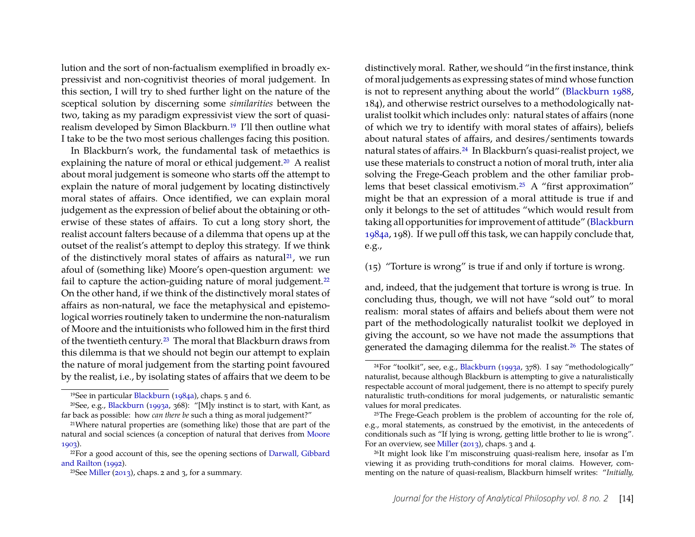lution and the sort of non-factualism exemplified in broadly expressivist and non-cognitivist theories of moral judgement. In this section, I will try to shed further light on the nature of the sceptical solution by discerning some *similarities* between the two, taking as my paradigm expressivist view the sort of quasirealism developed by Simon Blackburn.[19](#page-14-0) I'll then outline what I take to be the two most serious challenges facing this position.

In Blackburn's work, the fundamental task of metaethics is explaining the nature of moral or ethical judgement.<sup>[20](#page-14-1)</sup> A realist about moral judgement is someone who starts off the attempt to explain the nature of moral judgement by locating distinctively moral states of affairs. Once identified, we can explain moral judgement as the expression of belief about the obtaining or otherwise of these states of affairs. To cut a long story short, the realist account falters because of a dilemma that opens up at the outset of the realist's attempt to deploy this strategy. If we think of the distinctively moral states of affairs as natural<sup>[21](#page-14-2)</sup>, we run afoul of (something like) Moore's open-question argument: we fail to capture the action-guiding nature of moral judgement.<sup>[22](#page-14-3)</sup> On the other hand, if we think of the distinctively moral states of affairs as non-natural, we face the metaphysical and epistemological worries routinely taken to undermine the non-naturalism of Moore and the intuitionists who followed him in the first third of the twentieth century.[23](#page-14-4) The moral that Blackburn draws from this dilemma is that we should not begin our attempt to explain the nature of moral judgement from the starting point favoured by the realist, i.e., by isolating states of affairs that we deem to be

distinctively moral. Rather, we should "in the first instance, think of moral judgements as expressing states of mind whose function is not to represent anything about the world" [\(Blackburn 1988,](#page-19-5) 184), and otherwise restrict ourselves to a methodologically naturalist toolkit which includes only: natural states of affairs (none of which we try to identify with moral states of affairs), beliefs about natural states of affairs, and desires/sentiments towards natural states of affairs.[24](#page-14-5) In Blackburn's quasi-realist project, we use these materials to construct a notion of moral truth, inter alia solving the Frege-Geach problem and the other familiar problems that beset classical emotivism.[25](#page-14-6) A "first approximation" might be that an expression of a moral attitude is true if and only it belongs to the set of attitudes "which would result from taking all opportunities for improvement of attitude" [\(Blackburn](#page-19-1) [1984a,](#page-19-1) 198). If we pull off this task, we can happily conclude that, e.g.,

(15) "Torture is wrong" is true if and only if torture is wrong.

and, indeed, that the judgement that torture is wrong is true. In concluding thus, though, we will not have "sold out" to moral realism: moral states of affairs and beliefs about them were not part of the methodologically naturalist toolkit we deployed in giving the account, so we have not made the assumptions that generated the damaging dilemma for the realist.[26](#page-14-7) The states of

<span id="page-14-1"></span><span id="page-14-0"></span><sup>19</sup>See in particular [Blackburn](#page-19-1) [\(1984a\)](#page-19-1), chaps. 5 and 6.

<sup>&</sup>lt;sup>20</sup>See, e.g., [Blackburn](#page-19-4) [\(1993a,](#page-19-4) 368): "[M]y instinct is to start, with Kant, as far back as possible: how *can there be* such a thing as moral judgement?"

<span id="page-14-2"></span><sup>21</sup>Where natural properties are (something like) those that are part of the natural and social sciences (a conception of natural that derives from [Moore](#page-21-16) [1903\)](#page-21-16).

<span id="page-14-3"></span><sup>22</sup>For a good account of this, see the opening sections of [Darwall, Gibbard](#page-20-15) [and Railton](#page-20-15) [\(1992\)](#page-20-15).

<span id="page-14-4"></span><sup>&</sup>lt;sup>23</sup>See [Miller](#page-21-17) [\(2013\)](#page-21-17), chaps. 2 and 3, for a summary.

<span id="page-14-5"></span><sup>24</sup>For "toolkit", see, e.g., [Blackburn](#page-19-4) [\(1993a,](#page-19-4) 378). I say "methodologically" naturalist, because although Blackburn is attempting to give a naturalistically respectable account of moral judgement, there is no attempt to specify purely naturalistic truth-conditions for moral judgements, or naturalistic semantic values for moral predicates.

<span id="page-14-6"></span><sup>&</sup>lt;sup>25</sup>The Frege-Geach problem is the problem of accounting for the role of, e.g., moral statements, as construed by the emotivist, in the antecedents of conditionals such as "If lying is wrong, getting little brother to lie is wrong". For an overview, see [Miller](#page-21-17) [\(2013\)](#page-21-17), chaps. 3 and 4.

<span id="page-14-7"></span><sup>26</sup>It might look like I'm misconstruing quasi-realism here, insofar as I'm viewing it as providing truth-conditions for moral claims. However, commenting on the nature of quasi-realism, Blackburn himself writes: "*Initially,*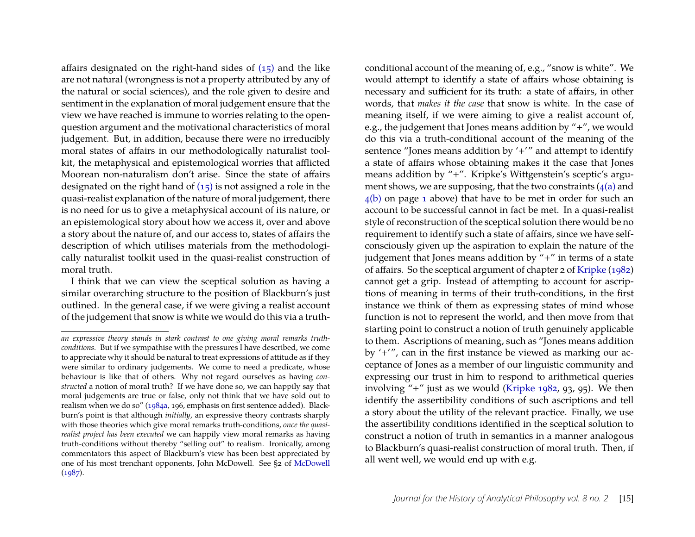affairs designated on the right-hand sides of  $(15)$  and the like are not natural (wrongness is not a property attributed by any of the natural or social sciences), and the role given to desire and sentiment in the explanation of moral judgement ensure that the view we have reached is immune to worries relating to the openquestion argument and the motivational characteristics of moral judgement. But, in addition, because there were no irreducibly moral states of affairs in our methodologically naturalist toolkit, the metaphysical and epistemological worries that afflicted Moorean non-naturalism don't arise. Since the state of affairs designated on the right hand of  $(15)$  is not assigned a role in the quasi-realist explanation of the nature of moral judgement, there is no need for us to give a metaphysical account of its nature, or an epistemological story about how we access it, over and above a story about the nature of, and our access to, states of affairs the description of which utilises materials from the methodologically naturalist toolkit used in the quasi-realist construction of moral truth.

I think that we can view the sceptical solution as having a similar overarching structure to the position of Blackburn's just outlined. In the general case, if we were giving a realist account of the judgement that snow is white we would do this via a truth-

conditional account of the meaning of, e.g., "snow is white". We would attempt to identify a state of affairs whose obtaining is necessary and sufficient for its truth: a state of affairs, in other words, that *makes it the case* that snow is white. In the case of meaning itself, if we were aiming to give a realist account of, e.g., the judgement that Jones means addition by "+", we would do this via a truth-conditional account of the meaning of the sentence "Jones means addition by '+'" and attempt to identify a state of affairs whose obtaining makes it the case that Jones means addition by "+". Kripke's Wittgenstein's sceptic's argument shows, we are supposing, that the two constraints  $(4(a)$  and [4\(b\)](#page-1-0) on page [1](#page-1-0) above) that have to be met in order for such an account to be successful cannot in fact be met. In a quasi-realist style of reconstruction of the sceptical solution there would be no requirement to identify such a state of affairs, since we have selfconsciously given up the aspiration to explain the nature of the judgement that Jones means addition by "+" in terms of a state of affairs. So the sceptical argument of chapter 2 of [Kripke](#page-21-1) [\(1982\)](#page-21-1) cannot get a grip. Instead of attempting to account for ascriptions of meaning in terms of their truth-conditions, in the first instance we think of them as expressing states of mind whose function is not to represent the world, and then move from that starting point to construct a notion of truth genuinely applicable to them. Ascriptions of meaning, such as "Jones means addition by '+'", can in the first instance be viewed as marking our acceptance of Jones as a member of our linguistic community and expressing our trust in him to respond to arithmetical queries involving "+" just as we would [\(Kripke 1982,](#page-21-1) 93, 95). We then identify the assertibility conditions of such ascriptions and tell a story about the utility of the relevant practice. Finally, we use the assertibility conditions identified in the sceptical solution to construct a notion of truth in semantics in a manner analogous to Blackburn's quasi-realist construction of moral truth. Then, if all went well, we would end up with e.g.

*an expressive theory stands in stark contrast to one giving moral remarks truthconditions.* But if we sympathise with the pressures I have described, we come to appreciate why it should be natural to treat expressions of attitude as if they were similar to ordinary judgements. We come to need a predicate, whose behaviour is like that of others. Why not regard ourselves as having *constructed* a notion of moral truth? If we have done so, we can happily say that moral judgements are true or false, only not think that we have sold out to realism when we do so" [\(1984a,](#page-19-1) 196, emphasis on first sentence added). Blackburn's point is that although *initially*, an expressive theory contrasts sharply with those theories which give moral remarks truth-conditions, *once the quasirealist project has been executed* we can happily view moral remarks as having truth-conditions without thereby "selling out" to realism. Ironically, among commentators this aspect of Blackburn's view has been best appreciated by one of his most trenchant opponents, John McDowell. See §2 of [McDowell](#page-21-18)  $(1987)$ .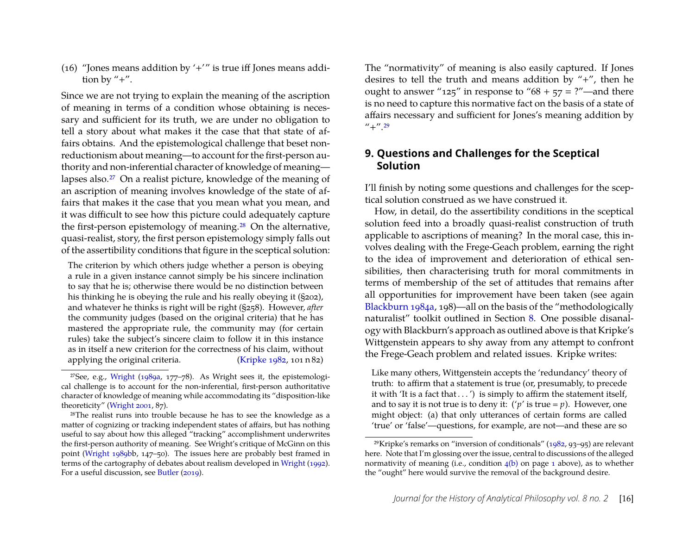(16) "Jones means addition by  $'$ +'" is true iff Jones means addition by "+".

Since we are not trying to explain the meaning of the ascription of meaning in terms of a condition whose obtaining is necessary and sufficient for its truth, we are under no obligation to tell a story about what makes it the case that that state of affairs obtains. And the epistemological challenge that beset nonreductionism about meaning—to account for the first-person authority and non-inferential character of knowledge of meaning lapses also.[27](#page-16-0) On a realist picture, knowledge of the meaning of an ascription of meaning involves knowledge of the state of affairs that makes it the case that you mean what you mean, and it was difficult to see how this picture could adequately capture the first-person epistemology of meaning.[28](#page-16-1) On the alternative, quasi-realist, story, the first person epistemology simply falls out of the assertibility conditions that figure in the sceptical solution:

The criterion by which others judge whether a person is obeying a rule in a given instance cannot simply be his sincere inclination to say that he is; otherwise there would be no distinction between his thinking he is obeying the rule and his really obeying it (§202), and whatever he thinks is right will be right (§258). However, *after* the community judges (based on the original criteria) that he has mastered the appropriate rule, the community may (for certain rules) take the subject's sincere claim to follow it in this instance as in itself a new criterion for the correctness of his claim, without applying the original criteria. [\(Kripke 1982,](#page-21-1) 101 n 82) The "normativity" of meaning is also easily captured. If Jones desires to tell the truth and means addition by "+", then he ought to answer "125" in response to " $68 + 57 =$  ?"—and there is no need to capture this normative fact on the basis of a state of affairs necessary and sufficient for Jones's meaning addition by  $^{\prime\prime}$ + $^{\prime\prime}$ , [29](#page-16-2)

#### **9. Questions and Challenges for the Sceptical Solution**

I'll finish by noting some questions and challenges for the sceptical solution construed as we have construed it.

How, in detail, do the assertibility conditions in the sceptical solution feed into a broadly quasi-realist construction of truth applicable to ascriptions of meaning? In the moral case, this involves dealing with the Frege-Geach problem, earning the right to the idea of improvement and deterioration of ethical sensibilities, then characterising truth for moral commitments in terms of membership of the set of attitudes that remains after all opportunities for improvement have been taken (see again [Blackburn 1984a,](#page-19-1) 198)—all on the basis of the "methodologically naturalist" toolkit outlined in Section [8.](#page-13-0) One possible disanalogy with Blackburn's approach as outlined above is that Kripke's Wittgenstein appears to shy away from any attempt to confront the Frege-Geach problem and related issues. Kripke writes:

Like many others, Wittgenstein accepts the 'redundancy' theory of truth: to affirm that a statement is true (or, presumably, to precede it with 'It is a fact that  $\dots$ ') is simply to affirm the statement itself, and to say it is not true is to deny it:  $('p'$  is true =  $p$ ). However, one might object: (a) that only utterances of certain forms are called 'true' or 'false'—questions, for example, are not—and these are so

<span id="page-16-0"></span><sup>27</sup>See, e.g., [Wright](#page-22-6) [\(1989a,](#page-22-6) 177–78). As Wright sees it, the epistemological challenge is to account for the non-inferential, first-person authoritative character of knowledge of meaning while accommodating its "disposition-like theoreticity" [\(Wright 2001,](#page-22-7) 87).

<span id="page-16-1"></span><sup>28</sup>The realist runs into trouble because he has to see the knowledge as a matter of cognizing or tracking independent states of affairs, but has nothing useful to say about how this alleged "tracking" accomplishment underwrites the first-person authority of meaning. See Wright's critique of McGinn on this point [\(Wright 1989bb](#page-22-8), 147–50). The issues here are probably best framed in terms of the cartography of debates about realism developed in [Wright](#page-22-9) [\(1992\)](#page-22-9). For a useful discussion, see [Butler](#page-20-16) [\(2019\)](#page-20-16).

<span id="page-16-2"></span> $29$ Kripke's remarks on "inversion of conditionals" [\(1982,](#page-21-1) 93–95) are relevant here. Note that I'm glossing over the issue, central to discussions of the alleged normativity of meaning (i.e., condition  $4(b)$  on page [1](#page-1-0) above), as to whether the "ought" here would survive the removal of the background desire.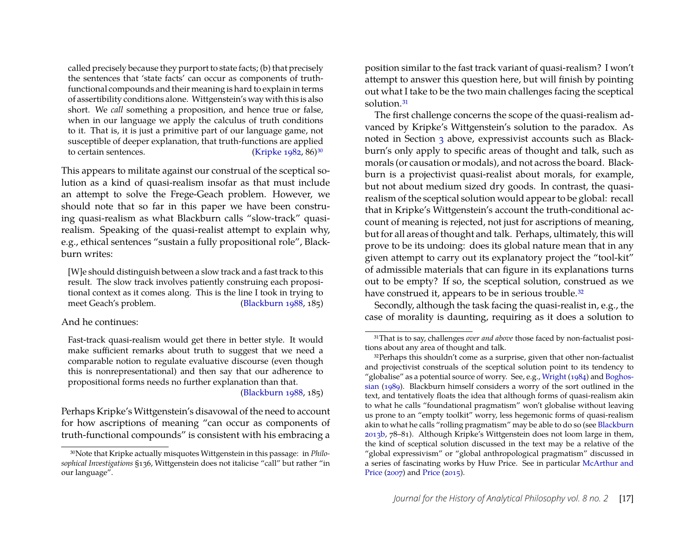called precisely because they purport to state facts; (b) that precisely the sentences that 'state facts' can occur as components of truthfunctional compounds and their meaning is hard to explain in terms of assertibility conditions alone. Wittgenstein's way with this is also short. We *call* something a proposition, and hence true or false, when in our language we apply the calculus of truth conditions to it. That is, it is just a primitive part of our language game, not susceptible of deeper explanation, that truth-functions are applied to certain sentences. [\(Kripke 1982,](#page-21-1) 86)<sup>[30](#page-17-0)</sup>

This appears to militate against our construal of the sceptical solution as a kind of quasi-realism insofar as that must include an attempt to solve the Frege-Geach problem. However, we should note that so far in this paper we have been construing quasi-realism as what Blackburn calls "slow-track" quasirealism. Speaking of the quasi-realist attempt to explain why, e.g., ethical sentences "sustain a fully propositional role", Blackburn writes:

[W]e should distinguish between a slow track and a fast track to this result. The slow track involves patiently construing each propositional context as it comes along. This is the line I took in trying to meet Geach's problem. [\(Blackburn 1988,](#page-19-5) 185)

#### And he continues:

Fast-track quasi-realism would get there in better style. It would make sufficient remarks about truth to suggest that we need a comparable notion to regulate evaluative discourse (even though this is nonrepresentational) and then say that our adherence to propositional forms needs no further explanation than that.

[\(Blackburn 1988,](#page-19-5) 185)

Perhaps Kripke's Wittgenstein's disavowal of the need to account for how ascriptions of meaning "can occur as components of truth-functional compounds" is consistent with his embracing a position similar to the fast track variant of quasi-realism? I won't attempt to answer this question here, but will finish by pointing out what I take to be the two main challenges facing the sceptical solution.[31](#page-17-1)

The first challenge concerns the scope of the quasi-realism advanced by Kripke's Wittgenstein's solution to the paradox. As noted in Section [3](#page-4-0) above, expressivist accounts such as Blackburn's only apply to specific areas of thought and talk, such as morals (or causation or modals), and not across the board. Blackburn is a projectivist quasi-realist about morals, for example, but not about medium sized dry goods. In contrast, the quasirealism of the sceptical solution would appear to be global: recall that in Kripke's Wittgenstein's account the truth-conditional account of meaning is rejected, not just for ascriptions of meaning, but for all areas of thought and talk. Perhaps, ultimately, this will prove to be its undoing: does its global nature mean that in any given attempt to carry out its explanatory project the "tool-kit" of admissible materials that can figure in its explanations turns out to be empty? If so, the sceptical solution, construed as we have construed it, appears to be in serious trouble.<sup>[32](#page-17-2)</sup>

Secondly, although the task facing the quasi-realist in, e.g., the case of morality is daunting, requiring as it does a solution to

<span id="page-17-0"></span><sup>30</sup>Note that Kripke actually misquotes Wittgenstein in this passage: in *Philosophical Investigations* §136, Wittgenstein does not italicise "call" but rather "in our language".

<span id="page-17-1"></span><sup>31</sup>That is to say, challenges *over and above* those faced by non-factualist positions about any area of thought and talk.

<span id="page-17-2"></span><sup>&</sup>lt;sup>32</sup>Perhaps this shouldn't come as a surprise, given that other non-factualist and projectivist construals of the sceptical solution point to its tendency to "globalise" as a potential source of worry. See, e.g., [Wright](#page-22-0) [\(1984\)](#page-22-0) and [Boghos](#page-20-6)[sian](#page-20-6) [\(1989\)](#page-20-6). Blackburn himself considers a worry of the sort outlined in the text, and tentatively floats the idea that although forms of quasi-realism akin to what he calls "foundational pragmatism" won't globalise without leaving us prone to an "empty toolkit" worry, less hegemonic forms of quasi-realism akin to what he calls "rolling pragmatism" may be able to do so (see [Blackburn](#page-20-17) [2013b,](#page-20-17) 78–81). Although Kripke's Wittgenstein does not loom large in them, the kind of sceptical solution discussed in the text may be a relative of the "global expressivism" or "global anthropological pragmatism" discussed in a series of fascinating works by Huw Price. See in particular [McArthur and](#page-21-19) [Price](#page-21-19) [\(2007\)](#page-21-19) and [Price](#page-21-20) [\(2015\)](#page-21-20).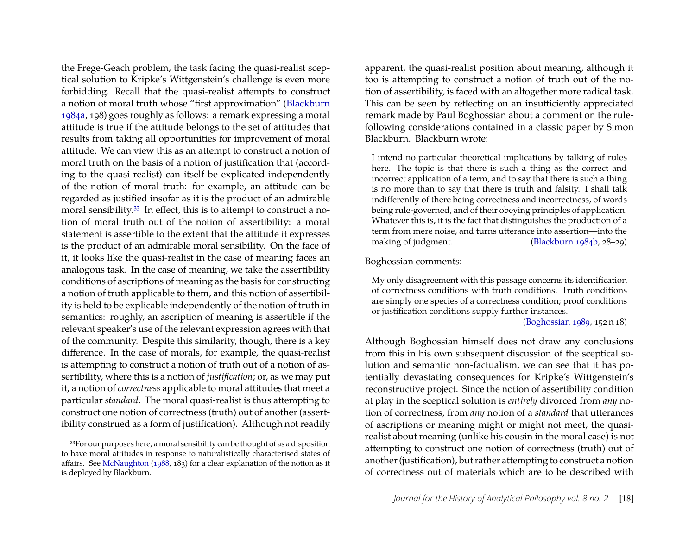the Frege-Geach problem, the task facing the quasi-realist sceptical solution to Kripke's Wittgenstein's challenge is even more forbidding. Recall that the quasi-realist attempts to construct a notion of moral truth whose "first approximation" [\(Blackburn](#page-19-1) [1984a,](#page-19-1) 198) goes roughly as follows: a remark expressing a moral attitude is true if the attitude belongs to the set of attitudes that results from taking all opportunities for improvement of moral attitude. We can view this as an attempt to construct a notion of moral truth on the basis of a notion of justification that (according to the quasi-realist) can itself be explicated independently of the notion of moral truth: for example, an attitude can be regarded as justified insofar as it is the product of an admirable moral sensibility.<sup>[33](#page-18-0)</sup> In effect, this is to attempt to construct a notion of moral truth out of the notion of assertibility: a moral statement is assertible to the extent that the attitude it expresses is the product of an admirable moral sensibility. On the face of it, it looks like the quasi-realist in the case of meaning faces an analogous task. In the case of meaning, we take the assertibility conditions of ascriptions of meaning as the basis for constructing a notion of truth applicable to them, and this notion of assertibility is held to be explicable independently of the notion of truth in semantics: roughly, an ascription of meaning is assertible if the relevant speaker's use of the relevant expression agrees with that of the community. Despite this similarity, though, there is a key difference. In the case of morals, for example, the quasi-realist is attempting to construct a notion of truth out of a notion of assertibility, where this is a notion of *justification*; or, as we may put it, a notion of *correctness* applicable to moral attitudes that meet a particular *standard*. The moral quasi-realist is thus attempting to construct one notion of correctness (truth) out of another (assertibility construed as a form of justification). Although not readily apparent, the quasi-realist position about meaning, although it too is attempting to construct a notion of truth out of the notion of assertibility, is faced with an altogether more radical task. This can be seen by reflecting on an insufficiently appreciated remark made by Paul Boghossian about a comment on the rulefollowing considerations contained in a classic paper by Simon Blackburn. Blackburn wrote:

I intend no particular theoretical implications by talking of rules here. The topic is that there is such a thing as the correct and incorrect application of a term, and to say that there is such a thing is no more than to say that there is truth and falsity. I shall talk indifferently of there being correctness and incorrectness, of words being rule-governed, and of their obeying principles of application. Whatever this is, it is the fact that distinguishes the production of a term from mere noise, and turns utterance into assertion—into the making of judgment. [\(Blackburn 1984b,](#page-19-2) 28–29)

Boghossian comments:

My only disagreement with this passage concerns its identification of correctness conditions with truth conditions. Truth conditions are simply one species of a correctness condition; proof conditions or justification conditions supply further instances.

[\(Boghossian 1989,](#page-20-6) 152 n 18)

Although Boghossian himself does not draw any conclusions from this in his own subsequent discussion of the sceptical solution and semantic non-factualism, we can see that it has potentially devastating consequences for Kripke's Wittgenstein's reconstructive project. Since the notion of assertibility condition at play in the sceptical solution is *entirely* divorced from *any* notion of correctness, from *any* notion of a *standard* that utterances of ascriptions or meaning might or might not meet, the quasirealist about meaning (unlike his cousin in the moral case) is not attempting to construct one notion of correctness (truth) out of another (justification), but rather attempting to construct a notion of correctness out of materials which are to be described with

<span id="page-18-0"></span><sup>33</sup>For our purposes here, a moral sensibility can be thought of as a disposition to have moral attitudes in response to naturalistically characterised states of affairs. See [McNaughton](#page-21-21) [\(1988,](#page-21-21) 183) for a clear explanation of the notion as it is deployed by Blackburn.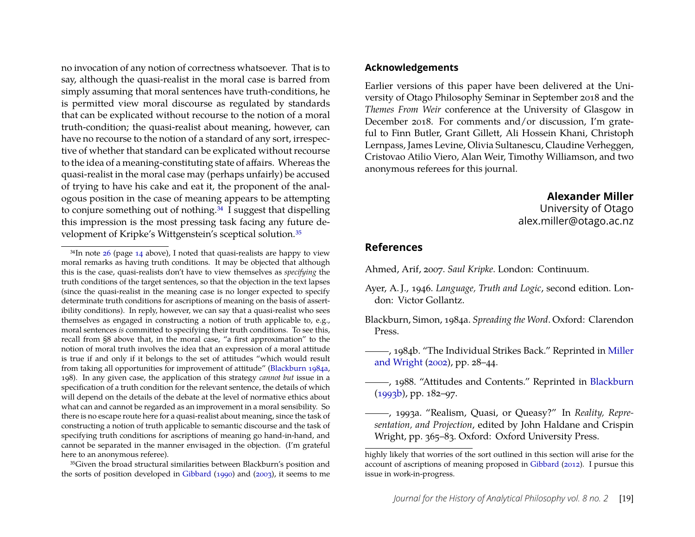no invocation of any notion of correctness whatsoever. That is to say, although the quasi-realist in the moral case is barred from simply assuming that moral sentences have truth-conditions, he is permitted view moral discourse as regulated by standards that can be explicated without recourse to the notion of a moral truth-condition; the quasi-realist about meaning, however, can have no recourse to the notion of a standard of any sort, irrespective of whether that standard can be explicated without recourse to the idea of a meaning-constituting state of affairs. Whereas the quasi-realist in the moral case may (perhaps unfairly) be accused of trying to have his cake and eat it, the proponent of the analogous position in the case of meaning appears to be attempting to conjure something out of nothing.<sup>[34](#page-19-6)</sup> I suggest that dispelling this impression is the most pressing task facing any future development of Kripke's Wittgenstein's sceptical solution.[35](#page-19-7)

<span id="page-19-7"></span>35Given the broad structural similarities between Blackburn's position and the sorts of position developed in [Gibbard](#page-20-0) [\(1990\)](#page-20-0) and [\(2003\)](#page-20-18), it seems to me

#### **Acknowledgements**

Earlier versions of this paper have been delivered at the University of Otago Philosophy Seminar in September 2018 and the *Themes From Weir* conference at the University of Glasgow in December 2018. For comments and/or discussion, I'm grateful to Finn Butler, Grant Gillett, Ali Hossein Khani, Christoph Lernpass, James Levine, Olivia Sultanescu, Claudine Verheggen, Cristovao Atilio Viero, Alan Weir, Timothy Williamson, and two anonymous referees for this journal.

#### **Alexander Miller**

University of Otago alex.miller@otago.ac.nz

#### **References**

<span id="page-19-3"></span>Ahmed, Arif, 2007. *Saul Kripke*. London: Continuum.

- <span id="page-19-0"></span>Ayer, A. J., 1946. *Language, Truth and Logic*, second edition. London: Victor Gollantz.
- <span id="page-19-1"></span>Blackburn, Simon, 1984a. *Spreading the Word*. Oxford: Clarendon Press.
- <span id="page-19-2"></span>, 1984b. "The Individual Strikes Back." Reprinted in [Miller](#page-21-22) [and Wright](#page-21-22) [\(2002\)](#page-21-22), pp. 28–44.
- <span id="page-19-5"></span>-, 1988. "Attitudes and Contents." Reprinted in [Blackburn](#page-20-19) [\(1993b\)](#page-20-19), pp. 182–97.
- <span id="page-19-4"></span>, 1993a. "Realism, Quasi, or Queasy?" In *Reality, Representation, and Projection*, edited by John Haldane and Crispin Wright, pp. 365–83. Oxford: Oxford University Press.

<span id="page-19-6"></span> $34$ In note  $26$  (page [14](#page-14-7) above), I noted that quasi-realists are happy to view moral remarks as having truth conditions. It may be objected that although this is the case, quasi-realists don't have to view themselves as *specifying* the truth conditions of the target sentences, so that the objection in the text lapses (since the quasi-realist in the meaning case is no longer expected to specify determinate truth conditions for ascriptions of meaning on the basis of assertibility conditions). In reply, however, we can say that a quasi-realist who sees themselves as engaged in constructing a notion of truth applicable to, e.g., moral sentences *is* committed to specifying their truth conditions. To see this, recall from §8 above that, in the moral case, "a first approximation" to the notion of moral truth involves the idea that an expression of a moral attitude is true if and only if it belongs to the set of attitudes "which would result from taking all opportunities for improvement of attitude" [\(Blackburn 1984a,](#page-19-1) 198). In any given case, the application of this strategy *cannot but* issue in a specification of a truth condition for the relevant sentence, the details of which will depend on the details of the debate at the level of normative ethics about what can and cannot be regarded as an improvement in a moral sensibility. So there is no escape route here for a quasi-realist about meaning, since the task of constructing a notion of truth applicable to semantic discourse and the task of specifying truth conditions for ascriptions of meaning go hand-in-hand, and cannot be separated in the manner envisaged in the objection. (I'm grateful here to an anonymous referee).

highly likely that worries of the sort outlined in this section will arise for the account of ascriptions of meaning proposed in [Gibbard](#page-20-20) [\(2012\)](#page-20-20). I pursue this issue in work-in-progress.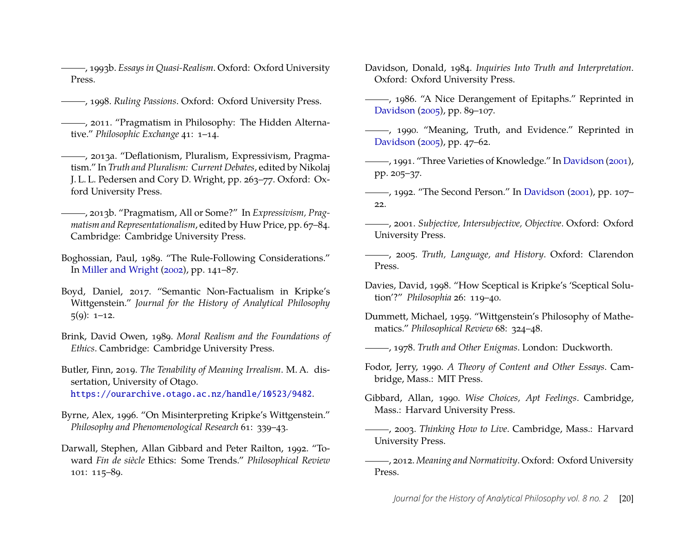<span id="page-20-19"></span>, 1993b. *Essays in Quasi-Realism*. Oxford: Oxford University Press.

- , 1998. *Ruling Passions*. Oxford: Oxford University Press.
- <span id="page-20-1"></span>, 2011. "Pragmatism in Philosophy: The Hidden Alternative." *Philosophic Exchange* 41: 1–14.
- <span id="page-20-2"></span>, 2013a. "Deflationism, Pluralism, Expressivism, Pragmatism." In *Truth and Pluralism: Current Debates*, edited by Nikolaj J. L. L. Pedersen and Cory D. Wright, pp. 263–77. Oxford: Oxford University Press.
- <span id="page-20-17"></span>, 2013b. "Pragmatism, All or Some?" In *Expressivism, Pragmatism and Representationalism*, edited by Huw Price, pp. 67–84. Cambridge: Cambridge University Press.
- <span id="page-20-6"></span>Boghossian, Paul, 1989. "The Rule-Following Considerations." In [Miller and Wright](#page-21-22) [\(2002\)](#page-21-22), pp. 141–87.
- <span id="page-20-10"></span>Boyd, Daniel, 2017. "Semantic Non-Factualism in Kripke's Wittgenstein." *Journal for the History of Analytical Philosophy*  $5(9)$ : 1–12.
- <span id="page-20-5"></span>Brink, David Owen, 1989. *Moral Realism and the Foundations of Ethics*. Cambridge: Cambridge University Press.
- <span id="page-20-16"></span>Butler, Finn, 2019. *The Tenability of Meaning Irrealism*. M. A. dissertation, University of Otago. <https://ourarchive.otago.ac.nz/handle/10523/9482>.
- <span id="page-20-7"></span>Byrne, Alex, 1996. "On Misinterpreting Kripke's Wittgenstein." *Philosophy and Phenomenological Research* 61: 339–43.
- <span id="page-20-15"></span>Darwall, Stephen, Allan Gibbard and Peter Railton, 1992. "Toward *Fin de siècle* Ethics: Some Trends." *Philosophical Review* 101: 115–89.
- <span id="page-20-11"></span>Davidson, Donald, 1984. *Inquiries Into Truth and Interpretation*. Oxford: Oxford University Press.
- <span id="page-20-13"></span>(1986. "A Nice Derangement of Epitaphs." Reprinted in [Davidson](#page-20-21) [\(2005\)](#page-20-21), pp. 89–107.
- <span id="page-20-14"></span>(1990. "Meaning, Truth, and Evidence." Reprinted in [Davidson](#page-20-21) [\(2005\)](#page-20-21), pp. 47–62.
- , 1991. "Three Varieties of Knowledge." In [Davidson](#page-20-22) [\(2001\)](#page-20-22), pp. 205–37.
- <span id="page-20-12"></span>, 1992. "The Second Person." In [Davidson](#page-20-22) [\(2001\)](#page-20-22), pp. 107– 22.
- <span id="page-20-22"></span>, 2001. *Subjective, Intersubjective, Objective*. Oxford: Oxford University Press.
- <span id="page-20-21"></span>, 2005. *Truth, Language, and History*. Oxford: Clarendon Press.
- <span id="page-20-8"></span>Davies, David, 1998. "How Sceptical is Kripke's 'Sceptical Solution'?" *Philosophia* 26: 119–40.
- <span id="page-20-4"></span>Dummett, Michael, 1959. "Wittgenstein's Philosophy of Mathematics." *Philosophical Review* 68: 324–48.

<span id="page-20-9"></span>, 1978. *Truth and Other Enigmas*. London: Duckworth.

- <span id="page-20-3"></span>Fodor, Jerry, 1990. *A Theory of Content and Other Essays*. Cambridge, Mass.: MIT Press.
- <span id="page-20-0"></span>Gibbard, Allan, 1990. *Wise Choices, Apt Feelings*. Cambridge, Mass.: Harvard University Press.
- <span id="page-20-18"></span>, 2003. *Thinking How to Live*. Cambridge, Mass.: Harvard University Press.
- <span id="page-20-20"></span>, 2012. *Meaning and Normativity*. Oxford: Oxford University Press.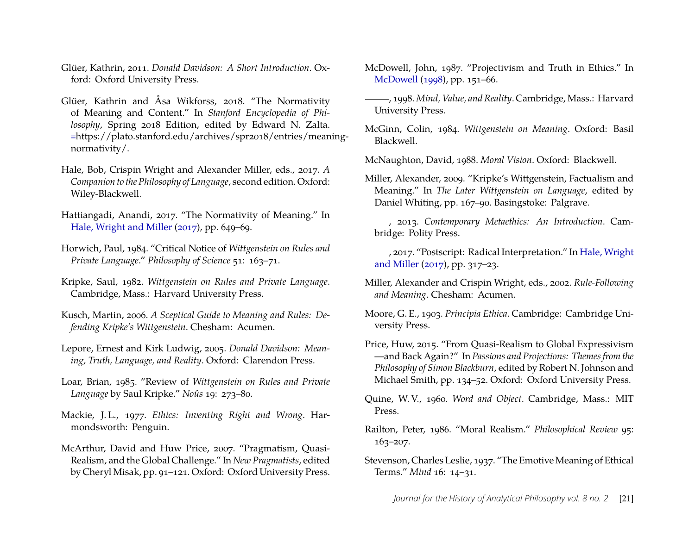- <span id="page-21-13"></span>Glüer, Kathrin, 2011. *Donald Davidson: A Short Introduction*. Oxford: Oxford University Press.
- <span id="page-21-14"></span>Glüer, Kathrin and Åsa Wikforss, 2018. "The Normativity of Meaning and Content." In *Stanford Encyclopedia of Philosophy*, Spring 2018 Edition, edited by Edward N. Zalta. <=>https://plato.stanford.edu/archives/spr2018/entries/meaningnormativity/.
- <span id="page-21-23"></span>Hale, Bob, Crispin Wright and Alexander Miller, eds., 2017. *A Companion to the Philosophy of Language*, second edition. Oxford: Wiley-Blackwell.
- <span id="page-21-3"></span>Hattiangadi, Anandi, 2017. "The Normativity of Meaning." In [Hale, Wright and Miller](#page-21-23) [\(2017\)](#page-21-23), pp. 649–69.
- <span id="page-21-10"></span>Horwich, Paul, 1984. "Critical Notice of *Wittgenstein on Rules and Private Language*." *Philosophy of Science* 51: 163–71.
- <span id="page-21-1"></span>Kripke, Saul, 1982. *Wittgenstein on Rules and Private Language*. Cambridge, Mass.: Harvard University Press.
- <span id="page-21-7"></span>Kusch, Martin, 2006. *A Sceptical Guide to Meaning and Rules: Defending Kripke's Wittgenstein*. Chesham: Acumen.
- <span id="page-21-12"></span>Lepore, Ernest and Kirk Ludwig, 2005. *Donald Davidson: Meaning, Truth, Language, and Reality*. Oxford: Clarendon Press.
- <span id="page-21-9"></span>Loar, Brian, 1985. "Review of *Wittgenstein on Rules and Private Language* by Saul Kripke." *Noûs* 19: 273–80.
- <span id="page-21-0"></span>Mackie, J. L., 1977. *Ethics: Inventing Right and Wrong*. Harmondsworth: Penguin.
- <span id="page-21-19"></span>McArthur, David and Huw Price, 2007. "Pragmatism, Quasi-Realism, and the Global Challenge." In *New Pragmatists*, edited by Cheryl Misak, pp. 91–121. Oxford: Oxford University Press.
- <span id="page-21-18"></span>McDowell, John, 1987. "Projectivism and Truth in Ethics." In [McDowell](#page-21-4) [\(1998\)](#page-21-4), pp. 151–66.
- <span id="page-21-4"></span>, 1998. *Mind, Value, and Reality*. Cambridge, Mass.: Harvard University Press.
- <span id="page-21-6"></span>McGinn, Colin, 1984. *Wittgenstein on Meaning*. Oxford: Basil Blackwell.

<span id="page-21-21"></span>McNaughton, David, 1988. *Moral Vision*. Oxford: Blackwell.

- <span id="page-21-8"></span>Miller, Alexander, 2009. "Kripke's Wittgenstein, Factualism and Meaning." In *The Later Wittgenstein on Language*, edited by Daniel Whiting, pp. 167–90. Basingstoke: Palgrave.
- <span id="page-21-17"></span>, 2013. *Contemporary Metaethics: An Introduction*. Cambridge: Polity Press.
- <span id="page-21-15"></span>(2017. "Postscript: Radical Interpretation." In [Hale, Wright](#page-21-23) [and Miller](#page-21-23) [\(2017\)](#page-21-23), pp. 317–23.
- <span id="page-21-22"></span>Miller, Alexander and Crispin Wright, eds., 2002. *Rule-Following and Meaning*. Chesham: Acumen.
- <span id="page-21-16"></span>Moore, G. E., 1903. *Principia Ethica*. Cambridge: Cambridge University Press.
- <span id="page-21-20"></span>Price, Huw, 2015. "From Quasi-Realism to Global Expressivism —and Back Again?" In *Passions and Projections: Themes from the Philosophy of Simon Blackburn*, edited by Robert N. Johnson and Michael Smith, pp. 134–52. Oxford: Oxford University Press.
- <span id="page-21-11"></span>Quine, W. V., 1960. *Word and Object*. Cambridge, Mass.: MIT Press.
- <span id="page-21-5"></span>Railton, Peter, 1986. "Moral Realism." *Philosophical Review* 95: 163–207.
- <span id="page-21-2"></span>Stevenson, Charles Leslie, 1937. "The Emotive Meaning of Ethical Terms." *Mind* 16: 14–31.